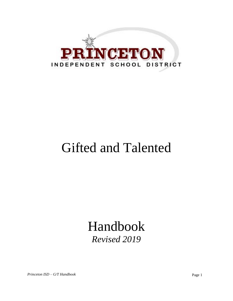

# Gifted and Talented

# Handbook *Revised 2019*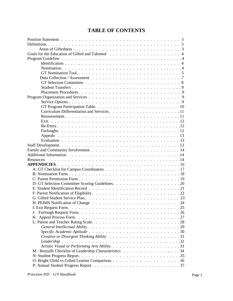# **TABLE OF CONTENTS**

| Resources.                                             |  |
|--------------------------------------------------------|--|
|                                                        |  |
|                                                        |  |
|                                                        |  |
|                                                        |  |
|                                                        |  |
|                                                        |  |
|                                                        |  |
|                                                        |  |
|                                                        |  |
|                                                        |  |
| J:                                                     |  |
|                                                        |  |
|                                                        |  |
|                                                        |  |
|                                                        |  |
|                                                        |  |
|                                                        |  |
|                                                        |  |
|                                                        |  |
| M: Renzulli Checklist of Leadership Characteristics 34 |  |
|                                                        |  |
|                                                        |  |
|                                                        |  |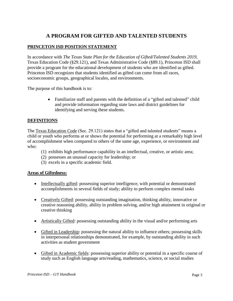# **A PROGRAM FOR GIFTED AND TALENTED STUDENTS**

# **PRINCETON ISD POSITION STATEMENT**

In accordance with *The Texas State Plan for the Education of Gifted/Talented Students 2019,* Texas Education Code (§29.121), and Texas Administrative Code (§89.1), Princeton ISD shall provide a program for the educational development of students who are identified as gifted. Princeton ISD recognizes that students identified as gifted can come from all races, socioeconomic groups, geographical locales, and environments.

The purpose of this handbook is to:

• Familiarize staff and parents with the definition of a "gifted and talented" child and provide information regarding state laws and district guidelines for identifying and serving these students.

# **DEFINITIONS**

The Texas Education Code (Sec. 29.121) states that a "gifted and talented students" means a child or youth who performs at or shows the potential for performing at a remarkably high level of accomplishment when compared to others of the same age, experience, or environment and who:

- (1) exhibits high performance capability in an intellectual, creative, or artistic area;
- (2) possesses an unusual capacity for leadership; or
- (3) excels in a specific academic field.

#### **Areas of Giftedness:**

- Intellectually gifted: possessing superior intelligence, with potential or demonstrated accomplishments in several fields of study; ability to perform complex mental tasks
- Creatively Gifted: possessing outstanding imagination, thinking ability, innovative or creative reasoning ability, ability in problem solving, and/or high attainment in original or creative thinking
- Artistically Gifted: possessing outstanding ability in the visual and/or performing arts
- Gifted in Leadership: possessing the natural ability to influence others; possessing skills in interpersonal relationships demonstrated, for example, by outstanding ability in such activities as student government
- Gifted in Academic fields: possessing superior ability or potential in a specific course of study such as English language arts/reading, mathematics, science, or social studies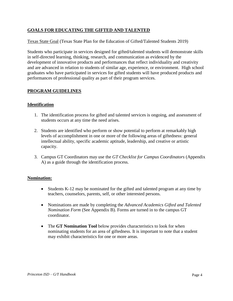# **GOALS FOR EDUCATING THE GIFTED AND TALENTED**

Texas State Goal (Texas State Plan for the Education of Gifted/Talented Students 2019)

Students who participate in services designed for gifted/talented students will demonstrate skills in self-directed learning, thinking, research, and communication as evidenced by the development of innovative products and performances that reflect individuality and creativity and are advanced in relation to students of similar age, experience, or environment. High school graduates who have participated in services for gifted students will have produced products and performances of professional quality as part of their program services.

# **PROGRAM GUIDELINES**

# **Identification**

- 1. The identification process for gifted and talented services is ongoing, and assessment of students occurs at any time the need arises.
- 2. Students are identified who perform or show potential to perform at remarkably high levels of accomplishment in one or more of the following areas of giftedness: general intellectual ability, specific academic aptitude, leadership, and creative or artistic capacity.
- 3. Campus GT Coordinators may use the *GT Checklist for Campus Coordinators* (Appendix A) as a guide through the identification process.

#### **Nomination:**

- Students K-12 may be nominated for the gifted and talented program at any time by teachers, counselors, parents, self, or other interested persons.
- Nominations are made by completing the *Advanced Academics Gifted and Talented Nomination Form* (See Appendix B). Forms are turned in to the campus GT coordinator.
- The **GT Nomination Tool** below provides characteristics to look for when nominating students for an area of giftedness. It is important to note that a student may exhibit characteristics for one or more areas.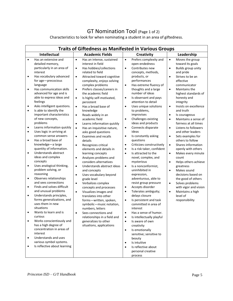# GT Nomination Tool (Page 1 of 2)

Characteristics to look for when nominating a student in an area of giftedness.

| <b>Traits of Giftedness as Manifested in Various Groups</b>                                                                                                                                                                                                                                                                                                                                                                                                                                                                                                                                                                                                                                                                                                                                                                                                                                                                                                                                                                                                                                                                                                                                                                                                                                                      |                                                                                                                                                                                                                                                                                                                                                                                                                                                                                                                                                                                                                                                                                                                                                                                                                                                                                                                                                                                                                                                                                                                                                                                                                     |                                                                                                                                                                                                                                                                                                                                                                                                                                                                                                                                                                                                                                                                                                                                                                                                                                                                                                                                                                                                                                                                                                                                                                                                                                                                                  |                                                                                                                                                                                                                                                                                                                                                                                                                                                                                                                                                                                                                                                                                                                                                                                                                                                                        |  |
|------------------------------------------------------------------------------------------------------------------------------------------------------------------------------------------------------------------------------------------------------------------------------------------------------------------------------------------------------------------------------------------------------------------------------------------------------------------------------------------------------------------------------------------------------------------------------------------------------------------------------------------------------------------------------------------------------------------------------------------------------------------------------------------------------------------------------------------------------------------------------------------------------------------------------------------------------------------------------------------------------------------------------------------------------------------------------------------------------------------------------------------------------------------------------------------------------------------------------------------------------------------------------------------------------------------|---------------------------------------------------------------------------------------------------------------------------------------------------------------------------------------------------------------------------------------------------------------------------------------------------------------------------------------------------------------------------------------------------------------------------------------------------------------------------------------------------------------------------------------------------------------------------------------------------------------------------------------------------------------------------------------------------------------------------------------------------------------------------------------------------------------------------------------------------------------------------------------------------------------------------------------------------------------------------------------------------------------------------------------------------------------------------------------------------------------------------------------------------------------------------------------------------------------------|----------------------------------------------------------------------------------------------------------------------------------------------------------------------------------------------------------------------------------------------------------------------------------------------------------------------------------------------------------------------------------------------------------------------------------------------------------------------------------------------------------------------------------------------------------------------------------------------------------------------------------------------------------------------------------------------------------------------------------------------------------------------------------------------------------------------------------------------------------------------------------------------------------------------------------------------------------------------------------------------------------------------------------------------------------------------------------------------------------------------------------------------------------------------------------------------------------------------------------------------------------------------------------|------------------------------------------------------------------------------------------------------------------------------------------------------------------------------------------------------------------------------------------------------------------------------------------------------------------------------------------------------------------------------------------------------------------------------------------------------------------------------------------------------------------------------------------------------------------------------------------------------------------------------------------------------------------------------------------------------------------------------------------------------------------------------------------------------------------------------------------------------------------------|--|
| <b>Intellectual</b><br><b>Academic Fields</b><br><b>Creativity</b>                                                                                                                                                                                                                                                                                                                                                                                                                                                                                                                                                                                                                                                                                                                                                                                                                                                                                                                                                                                                                                                                                                                                                                                                                                               |                                                                                                                                                                                                                                                                                                                                                                                                                                                                                                                                                                                                                                                                                                                                                                                                                                                                                                                                                                                                                                                                                                                                                                                                                     |                                                                                                                                                                                                                                                                                                                                                                                                                                                                                                                                                                                                                                                                                                                                                                                                                                                                                                                                                                                                                                                                                                                                                                                                                                                                                  | Leadership                                                                                                                                                                                                                                                                                                                                                                                                                                                                                                                                                                                                                                                                                                                                                                                                                                                             |  |
| Has an extensive and<br>$\bullet$<br>detailed memory,<br>particularly in an area of<br>interest<br>Has vocabulary advanced<br>$\bullet$<br>for age-precocious<br>language<br>Has communication skills<br>$\bullet$<br>advanced for age and is<br>able to express ideas and<br>feelings<br>Asks intelligent questions.<br>$\bullet$<br>Is able to identify the<br>$\bullet$<br>important characteristics<br>of new concepts,<br>problems<br>Learns information quickly<br>$\bullet$<br>Uses logic in arriving at<br>$\bullet$<br>common sense answers<br>Has a broad base of<br>$\bullet$<br>knowledge-a large<br>quantity of information.<br>Understands abstract<br>$\bullet$<br>ideas and complex<br>concepts<br>Uses analogical thinking,<br>$\bullet$<br>problem solving, or<br>reasoning<br>Observes relationships<br>$\bullet$<br>and sees connections<br>Finds and solves difficult<br>$\bullet$<br>and unusual problems<br>Understands principles,<br>$\bullet$<br>forms generalizations, and<br>uses them in new<br>situations<br>Wants to learn and is<br>$\bullet$<br>curious<br>Works conscientiously and<br>$\bullet$<br>has a high degree of<br>concentration in areas of<br>interest<br>Understands and uses<br>$\bullet$<br>various symbol systems.<br>Is reflective about learning<br>$\bullet$ | Has an intense, sustained<br>$\bullet$<br>interest in field<br>Has hobbies/collections<br>٠<br>related to field<br>$\bullet$<br>Attracted toward cognitive<br>complexity, enjoys solving<br>complex problems<br>Prefers classes/careers in<br>$\bullet$<br>the academic field<br>Is highly self-motivated,<br>$\bullet$<br>persistent<br>$\bullet$<br>Has a broad base of<br>knowledge<br>Reads widely in an<br>$\bullet$<br>academic field<br>Learns information quickly<br>$\bullet$<br>Has an inquisitive nature,<br>$\bullet$<br>asks good questions<br><b>Examines and recalls</b><br>$\bullet$<br>details<br>$\bullet$<br>Recognizes critical<br>elements and details in<br>learning concepts<br>Analyzes problems and<br>$\bullet$<br>considers alternatives<br>Understands abstract ideas<br>$\bullet$<br>and concepts<br>Uses vocabulary beyond<br>$\bullet$<br>grade level<br>Verbalizes complex<br>$\bullet$<br>concepts and processes<br>Visualizes images and<br>$\bullet$<br>translates into other<br>forms-written, spoken,<br>symbolic-music notation,<br>numbers, letters<br>Sees connections and<br>$\bullet$<br>relationships in a field and<br>generalizes to other<br>situations, applications | Prefers complexity and<br>$\bullet$<br>open-endedness<br>Contributes new<br>$\bullet$<br>concepts, methods,<br>products, or<br>performances<br>Has extreme fluency of<br>$\bullet$<br>thoughts and a large<br>number of ideas<br>Is observant and pays<br>$\bullet$<br>attention to detail<br>Uses unique solutions<br>$\bullet$<br>to problems,<br>improvises<br>Challenges existing<br>$\bullet$<br>ideas and products<br>Connects disparate<br>$\bullet$<br>ideas<br>Is constantly asking<br>$\bullet$<br>questions<br>Criticizes constructively<br>$\bullet$<br>Is a risk taker, confident<br>$\bullet$<br>Is attracted to the<br>$\bullet$<br>novel, complex, and<br>mysterious<br>Is a nonconformist,<br>$\bullet$<br>uninhibited in<br>expression,<br>adventurous, able to<br>resist group pressure<br>Accepts disorder<br>$\bullet$<br>Tolerates ambiguity;<br>$\bullet$<br>delays closure<br>Is persistent and task<br>$\bullet$<br>committed in area of<br>interest<br>Has a sense of humor.<br>$\bullet$<br>Is intellectually playful<br>$\bullet$<br>Is aware of own<br>$\bullet$<br>creativity<br>Is emotionally<br>$\bullet$<br>sensitive; sensitive to<br>beauty<br>Is intuitive<br>$\bullet$<br>Is reflective about<br>$\bullet$<br>personal creative<br>process | Moves the group<br>$\bullet$<br>toward its goals<br>Builds group unity<br>$\bullet$<br>and pride<br>Strives to be an<br>$\bullet$<br>effective<br>communicator<br>Maintains the<br>$\bullet$<br>highest standards of<br>honesty and<br>integrity<br>Insists on excellence<br>$\bullet$<br>and truth<br>Is courageous<br>$\bullet$<br>Maintains a sense of<br>$\bullet$<br>fairness at all times<br>Listens to followers<br>$\bullet$<br>and other leaders<br>Sets examples for<br>$\bullet$<br>others to follow<br>Shares information<br>$\bullet$<br>openly with others<br>Makes every minute<br>$\bullet$<br>count<br>Helps others achieve<br>$\bullet$<br>greatness<br>Makes sound<br>$\bullet$<br>decisions based on<br>the good of others<br>Solves problems<br>$\bullet$<br>with vigor and vision<br>Maintains a high<br>$\bullet$<br>level of<br>responsibility |  |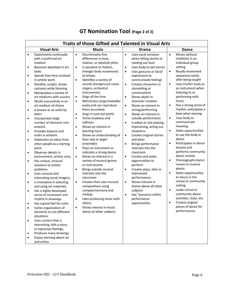|                                                                                                                                                                                 | <b>Traits of those Gifted and Talented in Visual Arts</b>                                                                                                                                                                                                                                                                                                                                                                                                                                                                                                                                                                                                                                                                                                                                                                      |                                                                                                                                                                                                                                                                                                                                                                                                                                                                                                                                                                                                                                                                                                                                                                                                                                                                                                                                                                                                                                                                                                                                                                                                                                                                                                                                                                                                                                                                                                                                                                                                                                                                                                                                                                                                                                                                                                                         |                                                                                                                                                                                                                                                                                                                                                                                                                                                                                                                                                                                                                                                                                                                                                                                                  |  |  |
|---------------------------------------------------------------------------------------------------------------------------------------------------------------------------------|--------------------------------------------------------------------------------------------------------------------------------------------------------------------------------------------------------------------------------------------------------------------------------------------------------------------------------------------------------------------------------------------------------------------------------------------------------------------------------------------------------------------------------------------------------------------------------------------------------------------------------------------------------------------------------------------------------------------------------------------------------------------------------------------------------------------------------|-------------------------------------------------------------------------------------------------------------------------------------------------------------------------------------------------------------------------------------------------------------------------------------------------------------------------------------------------------------------------------------------------------------------------------------------------------------------------------------------------------------------------------------------------------------------------------------------------------------------------------------------------------------------------------------------------------------------------------------------------------------------------------------------------------------------------------------------------------------------------------------------------------------------------------------------------------------------------------------------------------------------------------------------------------------------------------------------------------------------------------------------------------------------------------------------------------------------------------------------------------------------------------------------------------------------------------------------------------------------------------------------------------------------------------------------------------------------------------------------------------------------------------------------------------------------------------------------------------------------------------------------------------------------------------------------------------------------------------------------------------------------------------------------------------------------------------------------------------------------------------------------------------------------------|--------------------------------------------------------------------------------------------------------------------------------------------------------------------------------------------------------------------------------------------------------------------------------------------------------------------------------------------------------------------------------------------------------------------------------------------------------------------------------------------------------------------------------------------------------------------------------------------------------------------------------------------------------------------------------------------------------------------------------------------------------------------------------------------------|--|--|
|                                                                                                                                                                                 | <b>Visual Arts</b>                                                                                                                                                                                                                                                                                                                                                                                                                                                                                                                                                                                                                                                                                                                                                                                                             | <b>Music</b><br>Drama                                                                                                                                                                                                                                                                                                                                                                                                                                                                                                                                                                                                                                                                                                                                                                                                                                                                                                                                                                                                                                                                                                                                                                                                                                                                                                                                                                                                                                                                                                                                                                                                                                                                                                                                                                                                                                                                                                   | <b>Dance</b>                                                                                                                                                                                                                                                                                                                                                                                                                                                                                                                                                                                                                                                                                                                                                                                     |  |  |
| $\bullet$<br>$\bullet$<br>$\bullet$<br>٠<br>$\bullet$<br>$\bullet$<br>$\bullet$<br>٠<br>$\bullet$<br>$\bullet$<br>$\bullet$<br>$\bullet$<br>$\bullet$<br>$\bullet$<br>$\bullet$ | <b>Experiments continually</b><br>with a preferred art<br>medium<br>Becomes absorbed in art<br>tasks<br>Spends free time involved<br>in artistic work<br>Doodles, sculpts, draws<br>cartoons while listening<br>Manipulates a variety of<br>art mediums with success<br>Works successfully in an<br>art medium of choice<br>Is known as an artist by<br>peers<br>Incorporates large<br>number of elements into<br>artwork.<br>Provides balance and<br>order in artwork.<br>Elaborates on ideas from<br>other people as a starting<br>point.<br>Observes details in<br>environment, artistic area.<br>Has unique, unusual<br>solutions to artistic<br>problems.<br>Uses unusual and<br>interesting visual imagery.<br>Is innovative in selecting<br>and using art materials.<br>Has a highly developed<br>sense of movement and | Discriminates fine<br>Uses vocal variation<br>$\bullet$<br>$\bullet$<br>differences in tone,<br>when telling stories or<br>relative, or absolute pitch.<br>reading out loud<br>Is sensitive to rhythm,<br>Uses body to tell stories<br>$\bullet$<br>$\bullet$<br>changes body movements<br>Uses gestures or facial<br>$\bullet$<br>to tempo<br>expressions to<br>Identifies a variety of<br>communicate feelings<br>$\bullet$<br>sounds (background noise,<br>Creates characters in<br>$\bullet$<br>singers, orchestral<br>storytelling or<br>instruments)<br>conversations<br>Sings all the time<br>$\bullet$<br>Shows depth in<br>$\bullet$<br>Memorizes songs/melodies<br>character creation<br>$\bullet$<br>easily and can reproduce<br>Shows an interest in<br>$\bullet$<br>them accurately<br>acting/performing<br>Sings in tune (on pitch)<br>Shows an interest in<br>$\bullet$<br>$\bullet$<br>Varies loudness and<br>outside performance<br>$\bullet$<br>softness<br>Is adept at role-playing,<br>$\bullet$<br>improvising, acting out<br>$\bullet$<br>Shows an interest in<br>situations.<br>learning more<br>Shows an understanding of<br>$\bullet$<br>Creates original stories<br>$\bullet$<br>their role in larger<br>and plays<br>ensembles<br>Brings performance<br>$\bullet$<br>interests into the<br>Plays an instrument or<br>$\bullet$<br>indicates a strong desire<br>classroom<br>Shows an interest in a<br>$\bullet$<br>Creates and seeks<br>$\bullet$<br>variety of musical genres<br>opportunities to<br>perform<br>or instruments<br>Brings outside musical<br>Creates plays, skits or<br>$\bullet$<br>$\bullet$<br>improvised<br>interests into the<br>performances<br>classroom<br>Shows interest in<br>Creates their own musical<br>$\bullet$<br>$\bullet$<br>drama above all other<br>compositions using<br>complex harmony and<br>subjects<br>Has "presence within<br>melody<br>$\bullet$ | Moves without<br>$\bullet$<br>inhibition in an<br>individual group<br>setting<br><b>Recalls movement</b><br>$\bullet$<br>sequences easily<br>after being taught<br>Uses his/her body as<br>$\bullet$<br>an instrument when<br>listening to or<br>performing with<br>music<br>Has a strong sense of<br>$\bullet$<br>rhythm, anticipates a<br>beat when moving<br>Uses body to<br>$\bullet$<br>communicate<br>meaning<br>Seeks opportunities<br>$\bullet$<br>to use the body in<br>dance<br>Participates in dance<br>$\bullet$<br>lessons and<br>performs community<br>dance recitals<br>Choreographs dance<br>$\bullet$<br>moves to musical<br>pieces<br>Seeks opportunities<br>$\bullet$<br>to dance in the<br>school or community<br>setting<br>Leads school or<br>$\bullet$<br>community dance |  |  |
|                                                                                                                                                                                 | rhythm in drawings.<br>Has a great feel for color.                                                                                                                                                                                                                                                                                                                                                                                                                                                                                                                                                                                                                                                                                                                                                                             | Likes producing music with<br>performance<br>$\bullet$<br>others<br>opportunities                                                                                                                                                                                                                                                                                                                                                                                                                                                                                                                                                                                                                                                                                                                                                                                                                                                                                                                                                                                                                                                                                                                                                                                                                                                                                                                                                                                                                                                                                                                                                                                                                                                                                                                                                                                                                                       | activities, clubs, etc.<br>Creates original<br>$\bullet$                                                                                                                                                                                                                                                                                                                                                                                                                                                                                                                                                                                                                                                                                                                                         |  |  |
| $\bullet$                                                                                                                                                                       | Varies organization of<br>elements to suit different<br>situations.<br>Uses content that is                                                                                                                                                                                                                                                                                                                                                                                                                                                                                                                                                                                                                                                                                                                                    | Shows interest in music<br>$\bullet$<br>above all other subjects                                                                                                                                                                                                                                                                                                                                                                                                                                                                                                                                                                                                                                                                                                                                                                                                                                                                                                                                                                                                                                                                                                                                                                                                                                                                                                                                                                                                                                                                                                                                                                                                                                                                                                                                                                                                                                                        | pieces of dance for<br>performances                                                                                                                                                                                                                                                                                                                                                                                                                                                                                                                                                                                                                                                                                                                                                              |  |  |
|                                                                                                                                                                                 | interesting, tells a story,<br>or expresses feelings.                                                                                                                                                                                                                                                                                                                                                                                                                                                                                                                                                                                                                                                                                                                                                                          |                                                                                                                                                                                                                                                                                                                                                                                                                                                                                                                                                                                                                                                                                                                                                                                                                                                                                                                                                                                                                                                                                                                                                                                                                                                                                                                                                                                                                                                                                                                                                                                                                                                                                                                                                                                                                                                                                                                         |                                                                                                                                                                                                                                                                                                                                                                                                                                                                                                                                                                                                                                                                                                                                                                                                  |  |  |
| ٠                                                                                                                                                                               | Produces many drawings.<br>Enjoys learning about art<br>and artists                                                                                                                                                                                                                                                                                                                                                                                                                                                                                                                                                                                                                                                                                                                                                            |                                                                                                                                                                                                                                                                                                                                                                                                                                                                                                                                                                                                                                                                                                                                                                                                                                                                                                                                                                                                                                                                                                                                                                                                                                                                                                                                                                                                                                                                                                                                                                                                                                                                                                                                                                                                                                                                                                                         |                                                                                                                                                                                                                                                                                                                                                                                                                                                                                                                                                                                                                                                                                                                                                                                                  |  |  |

# **GT Nomination Tool (Page 2 of 2)**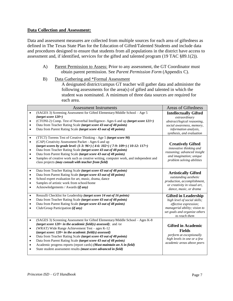#### **Data Collection and Assessment:**

Data and assessment measures are collected from multiple sources for each area of giftedness as defined in The Texas State Plan for the Education of Gifted/Talented Students and include data and procedures designed to ensure that students from all populations in the district have access to assessment and, if identified, services for the gifted and talented program (19 TAC §89.1(2)).

- A) Parent Permission to Assess: Prior to any assessment, the GT Coordinator must obtain parent permission. See *Parent Permission Form* (Appendix C).
- B) Data Gathering and \*Formal Assessment A designated district/campus GT teacher will gather data and administer the following assessments for the area(s) of gifted and talented in which the student was nominated. A minimum of three data sources are required for each area.

| <b>Assessment Instruments</b>                                                                                                                                                                                                                                                                                                                                                                                                                                                                                                                                                                                                       | <b>Areas of Giftedness</b>                                                                                                                                              |
|-------------------------------------------------------------------------------------------------------------------------------------------------------------------------------------------------------------------------------------------------------------------------------------------------------------------------------------------------------------------------------------------------------------------------------------------------------------------------------------------------------------------------------------------------------------------------------------------------------------------------------------|-------------------------------------------------------------------------------------------------------------------------------------------------------------------------|
| (SAGES 3) Screening Assessment for Gifted Elementary/Middle School - Age 5<br>$\bullet$<br>$(target score 120+)$<br>(CTONI-2) Comp. Test of Nonverbal Intelligence- Ages 6 and up (target score 121+)<br>$\bullet$<br>Data from Teacher Rating Scale (target score 43 out of 48 points)<br>$\bullet$<br>Data from Parent Rating Scale (target score 43 out of 48 points)<br>$\bullet$                                                                                                                                                                                                                                               | <b>Intellectually Gifted</b><br>extraordinary<br>abstract/logical reasoning,<br>social awareness, memory,<br>information analysis,<br>synthesis, and evaluation         |
| (TTCT) Torrens Test of Creative Thinking - Age 5 (target score 90)<br>$\bullet$<br>(CAP) Creativity Assessment Packet - Ages 6 and up<br>$\bullet$<br>(target scores by grade level: $(1-3: 96+)$ (4-6: 102+) (7-9: 109+) (10-12: 117+)<br>Data from Teacher Rating Scale (target score 43 out of 48 points)<br>$\bullet$<br>Data from Parent Rating Scale (target score 43 out of 48 points)<br>$\bullet$<br>Samples of creative work such as creative writing, computer work, and independent and<br>$\bullet$<br>class projects (may consult with teacher from field)                                                            | <b>Creatively Gifted</b><br>innovative thinking and<br>reasoning; advanced insight<br>and imagination; unique<br>problem solving abilities                              |
| Data from Teacher Rating Scale (target score 43 out of 48 points)<br>$\bullet$<br>Data from Parent Rating Scale (target score 43 out of 48 points)<br>$\bullet$<br>School expert evaluation for art, music, drama, dance<br>$\bullet$<br>Samples of artistic work from school/home<br>$\bullet$<br>Acknowledgements / Awards (if any)<br>$\bullet$                                                                                                                                                                                                                                                                                  | <b>Artistically Gifted</b><br>outstanding aesthetic<br>production, accomplishment,<br>or creativity in visual art,<br>dance, music, or drama                            |
| Renzulli Checklist for Leadership (target score 14 out of 16 points)<br>$\bullet$<br>Data from Teacher Rating Scale (target score 43 out of 48 points)<br>$\bullet$<br>Data from Parent Rating Scale (target score 43 out of 48 points)<br>$\bullet$<br>Club/Group Participation (if any)<br>$\bullet$                                                                                                                                                                                                                                                                                                                              | <b>Gifted in Leadership</b><br>high level of social skills;<br>effective expression;<br>managerial ability; vision to<br>set goals and organize others<br>to reach them |
| (SAGES 3) Screening Assessment for Gifted Elementary/Middle School - Ages K-8<br>$\bullet$<br>(target score $120+$ in the academic field(s) assessed); and /or<br>(WRAT) Wide Range Achievement Test - ages K-12<br>$\bullet$<br>(target score: $120+$ in the academic field(s) assessed)<br>Data from Teacher Rating Scale (target score 43 out of 48 points)<br>$\bullet$<br>Data from Parent Rating Scale (target score 43 out of 48 points)<br>$\bullet$<br>Academic progress reports (report cards) (Must maintain an A in field)<br>$\bullet$<br>State student assessment results (must score advanced in field)<br>$\bullet$ | <b>Gifted in Academic</b><br><b>Fields</b><br>perform at exceptionally<br>high levels in one or a few<br>academic areas above peers                                     |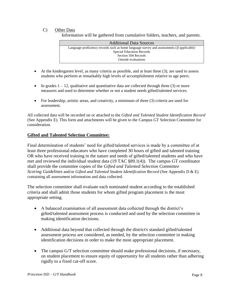# C) Other Data

Information will be gathered from cumulative folders, teachers, and parents.

- At the kindergarten level, as many criteria as possible, and at least three (3), are used to assess students who perform at remarkably high levels of accomplishment relative to age peers.
- In grades  $1 12$ , qualitative and quantitative data are collected through three (3) or more measures and used to determine whether or not a student needs gifted/talented services.
- For leadership, artistic areas, and creativity, a minimum of three  $(3)$  criteria are used for assessment.

All collected data will be recorded on or attached to the *Gifted and Talented Student Identification Record* (See Appendix E). This form and attachments will be given to the Campus GT Selection Committee for consideration.

# **Gifted and Talented Selection Committee:**

Final determination of students' need for gifted/talented services is made by a committee of at least three professional educators who have completed 30 hours of gifted and talented training OR who have received training in the nature and needs of gifted/talented students and who have met and reviewed the individual student data (19 TAC §89.1(4)). The campus GT coordinator shall provide the committee copies of the *Gifted and Talented Selection Committee Scoring Guidelines* and/or *Gifted and Talented Student Identification Record* (See Appendix D & E) containing all assessment information and data collected.

The selection committee shall evaluate each nominated student according to the established criteria and shall admit those students for whom gifted program placement is the most appropriate setting.

- A balanced examination of all assessment data collected through the district's gifted/talented assessment process is conducted and used by the selection committee in making identification decisions.
- Additional data beyond that collected through the district's standard gifted/talented assessment process are considered, as needed, by the selection committee in making identification decisions in order to make the most appropriate placement.
- The campus G/T selection committee should make professional decisions, if necessary, on student placement to ensure equity of opportunity for all students rather than adhering rigidly to a fixed cut-off score.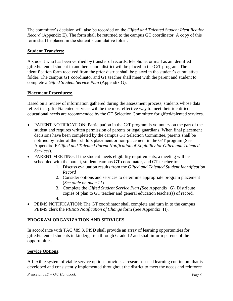The committee's decision will also be recorded on the *Gifted and Talented Student Identification Record* (Appendix E). The form shall be returned to the campus GT coordinator. A copy of this form shall be placed in the student's cumulative folder.

# **Student Transfers:**

A student who has been verified by transfer of records, telephone, or mail as an identified gifted/talented student in another school district will be placed in the G/T program. The identification form received from the prior district shall be placed in the student's cumulative folder. The campus GT coordinator and GT teacher shall meet with the parent and student to complete a *Gifted Student Service Plan* (Appendix G).

# **Placement Procedures:**

Based on a review of information gathered during the assessment process, students whose data reflect that gifted/talented services will be the most effective way to meet their identified educational needs are recommended by the GT Selection Committee for gifted/talented services.

- PARENT NOTIFICATION: Participation in the G/T program is voluntary on the part of the student and requires written permission of parents or legal guardians. When final placement decisions have been completed by the campus GT Selection Committee, parents shall be notified by letter of their child's placement or non-placement in the G/T program (See Appendix: F *Gifted and Talented Parent Notification of Eligibility for Gifted and Talented Services*).
- PARENT MEETING: If the student meets eligibility requirements, a meeting will be scheduled with the parent, student, campus GT coordinator, and GT teacher to:
	- 1. Discuss evaluation results from the *Gifted and Talented Student Identification Record*
	- 2. Consider options and services to determine appropriate program placement (*See table on page 11*)
	- 3. Complete the *Gifted Student Service Plan (*See Appendix: G). Distribute copies of plan to GT teacher and general education teacher(s) of record.
	- 4.
- PEIMS NOTIFICATION: The GT coordinator shall complete and turn in to the campus PEIMS clerk the *PEIMS Notification of Change* form (See Appendix: H).

# **PROGRAM ORGANIZATION AND SERVICES**

In accordance with TAC §89.3, PISD shall provide an array of learning opportunities for gifted/talented students in kindergarten through Grade 12 and shall inform parents of the opportunities.

# **Service Options**:

A flexible system of viable service options provides a research-based learning continuum that is developed and consistently implemented throughout the district to meet the needs and reinforce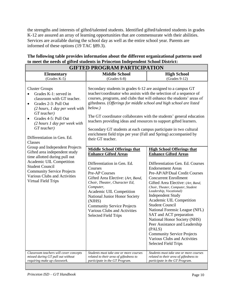the strengths and interests of gifted/talented students. Identified gifted/talented students in grades K-12 are assured an array of learning opportunities that are commensurate with their abilities. Services are available during the school day as well as the entire school year. Parents are informed of these options (19 TAC §89.3).

# **The following table provides information about the different organizational patterns used to meet the needs of gifted students in Princeton Independent School District:**

| <b>GIFTED PROGRAM PARTICIPATION</b>                                                                                                                                                                                                                                                |                                                                                                                                                                                                                                                                                                                                                                                                                                                                                                                                                                                                                                                                                                                                                                                                                                                                                                                                                                                                                                       |                                                                                                                    |  |
|------------------------------------------------------------------------------------------------------------------------------------------------------------------------------------------------------------------------------------------------------------------------------------|---------------------------------------------------------------------------------------------------------------------------------------------------------------------------------------------------------------------------------------------------------------------------------------------------------------------------------------------------------------------------------------------------------------------------------------------------------------------------------------------------------------------------------------------------------------------------------------------------------------------------------------------------------------------------------------------------------------------------------------------------------------------------------------------------------------------------------------------------------------------------------------------------------------------------------------------------------------------------------------------------------------------------------------|--------------------------------------------------------------------------------------------------------------------|--|
| <b>Elementary</b><br>$(Grades K-5)$                                                                                                                                                                                                                                                | <b>Middle School</b><br><b>High School</b><br>$(Grades 9-12)$<br>$(Grades 6-8)$                                                                                                                                                                                                                                                                                                                                                                                                                                                                                                                                                                                                                                                                                                                                                                                                                                                                                                                                                       |                                                                                                                    |  |
| <b>Cluster Groups</b><br>Grades K-1: served in<br>classroom with GT teacher.<br>Grades 2-3: Pull Out<br>$\bullet$<br>(2 hours, 1 day per week with<br>GT teacher)<br>Grades 4-5: Pull Out<br>(2 hours 1 day per week with<br>GT teacher)<br>Differentiation in Gen. Ed.<br>Classes | Secondary students in grades 6-12 are assigned to a campus GT<br>teacher/coordinator who assists with the selection of a sequence of<br>courses, programs, and clubs that will enhance the students' areas of<br>giftedness. (Offerings for middle school and high school are listed<br>below.)<br>The GT coordinator collaborates with the students' general education<br>teachers providing ideas and resources to support gifted learners.<br>Secondary GT students at each campus participate in two cultural<br>enrichment field trips per year (Fall and Spring) accompanied by<br>their GT teacher.                                                                                                                                                                                                                                                                                                                                                                                                                            |                                                                                                                    |  |
| Group and Independent Projects<br>Gifted area independent study<br>time allotted during pull out<br>Academic UIL Competition<br><b>Student Council</b><br><b>Community Service Projects</b><br>Various Clubs and Activities<br><b>Virtual Field Trips</b>                          | <b>Middle School Offerings that</b><br><b>High School Offerings that</b><br><b>Enhance Gifted Areas</b><br><b>Enhance Gifted Areas</b><br>Differentiation in Gen. Ed.<br>Differentiation Gen. Ed. Courses<br><b>Endorsement Areas</b><br>Courses<br>Pre-AP Courses<br>Pre-AP/AP/Dual Credit Courses<br>Gifted Area Elective: (Art, Band,<br><b>Concurrent Enrollment</b><br>Choir, Theater, Character Ed,<br>Gifted Area Elective: (Art, Band,<br>Computer,<br>Choir, Theater, Computer, Student<br>Leadership, Vocational)<br>Academic UIL Competition<br><b>Independent Study</b><br>National Junior Honor Society<br>Academic UIL Competition<br>(NJHS)<br><b>Student Council</b><br><b>Community Service Projects</b><br>National Forensic League (NFL)<br>Various Clubs and Activities<br>SAT and ACT preparation<br><b>Selected Field Trips</b><br>National Honor Society (NHS)<br>Peer Assistance and Leadership<br>(PALS)<br><b>Community Service Projects</b><br>Various Clubs and Activities<br><b>Selected Field Trips</b> |                                                                                                                    |  |
| Classroom teachers will cover concepts<br>missed during GT pull out without<br>requiring make up classwork.                                                                                                                                                                        | Students must take one or more courses<br>related to their area of giftedness to<br>participate in the GT Program.                                                                                                                                                                                                                                                                                                                                                                                                                                                                                                                                                                                                                                                                                                                                                                                                                                                                                                                    | Students must take one or more courses<br>related to their area of giftedness to<br>participate in the GT Program. |  |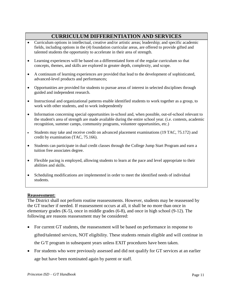# **CURRICULUM DIFFERENTIATION AND SERVICES**

- Curriculum options in intellectual, creative and/or artistic areas; leadership; and specific academic fields, including options in the (4) foundation curricular areas, are offered to provide gifted and talented students the opportunity to accelerate in their area of strength.
- Learning experiences will be based on a differentiated form of the regular curriculum so that concepts, themes, and skills are explored in greater depth, complexity, and scope.
- A continuum of learning experiences are provided that lead to the development of sophisticated, advanced-level products and performances;
- Opportunities are provided for students to pursue areas of interest in selected disciplines through guided and independent research.
- Instructional and organizational patterns enable identified students to work together as a group, to work with other students, and to work independently
- Information concerning special opportunities in-school and, when possible, out-of-school relevant to the student's area of strength are made available during the entire school year. (i.e. contests, academic recognition, summer camps, community programs, volunteer opportunities, etc.)
- Students may take and receive credit on advanced placement examinations (19 TAC, 75.172) and credit by examination (TAC, 75.166).
- Students can participate in dual credit classes through the College Jump Start Program and earn a tuition free associates degree.
- Flexible pacing is employed, allowing students to learn at the pace and level appropriate to their abilities and skills.
- Scheduling modifications are implemented in order to meet the identified needs of individual students.

#### **Reassessment:**

The District shall not perform routine reassessments. However, students may be reassessed by the GT teacher if needed. If reassessment occurs at all, it shall be no more than once in elementary grades (K-5), once in middle grades (6-8), and once in high school (9-12). The following are reasons reassessment may be considered:

- For current GT students, the reassessment will be based on performance in response to gifted/talented services, NOT eligibility. These students remain eligible and will continue in the G/T program in subsequent years unless EXIT procedures have been taken.
- For students who were previously assessed and did not qualify for GT services at an earlier age but have been nominated again by parent or staff.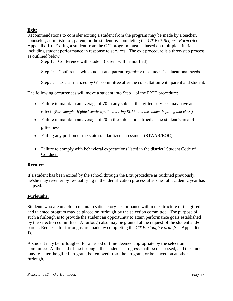# **Exit:**

Recommendations to consider exiting a student from the program may be made by a teacher, counselor, administrator, parent, or the student by completing the *GT Exit Request Form* (See Appendix: I ). Exiting a student from the G/T program must be based on multiple criteria including student performance in response to services. The exit procedure is a three-step process as outlined below:

Step 1: Conference with student (parent will be notified).

- Step 2: Conference with student and parent regarding the student's educational needs.
- Step 3: Exit is finalized by GT committee after the consultation with parent and student.

The following occurrences will move a student into Step 1 of the EXIT procedure:

- Failure to maintain an average of 70 in any subject that gifted services may have an effect: *(For example: If gifted services pull out during ELAR, and the student is failing that class.)*
- Failure to maintain an average of 70 in the subject identified as the student's area of giftedness
- Failing any portion of the state standardized assessment (STAAR/EOC)
- Failure to comply with behavioral expectations listed in the district' Student Code of Conduct.

#### **Reentry:**

If a student has been exited by the school through the Exit procedure as outlined previously, he/she may re-enter by re-qualifying in the identification process after one full academic year has elapsed.

#### **Furloughs:**

Students who are unable to maintain satisfactory performance within the structure of the gifted and talented program may be placed on furlough by the selection committee. The purpose of such a furlough is to provide the student an opportunity to attain performance goals established by the selection committee. A furlough also may be granted at the request of the student and/or parent. Requests for furloughs are made by completing the *GT Furlough Form* (See Appendix:  $J$ ).

A student may be furloughed for a period of time deemed appropriate by the selection committee. At the end of the furlough, the student's progress shall be reassessed, and the student may re-enter the gifted program, be removed from the program, or be placed on another furlough.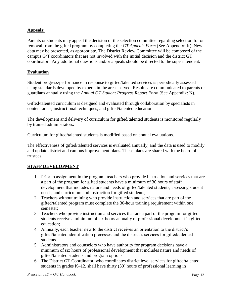# **Appeals:**

Parents or students may appeal the decision of the selection committee regarding selection for or removal from the gifted program by completing the *GT Appeals Form* (See Appendix: K). New data may be presented, as appropriate. The District Review Committee will be composed of the campus G/T coordinators that are not involved with the initial decision and the district GT coordinator. Any additional questions and/or appeals should be directed to the superintendent.

# **Evaluation**

Student progress/performance in response to gifted/talented services is periodically assessed using standards developed by experts in the areas served. Results are communicated to parents or guardians annually using the *Annual GT Student Progress Report Form* (See Appendix: N).

Gifted/talented curriculum is designed and evaluated through collaboration by specialists in content areas, instructional techniques, and gifted/talented education.

The development and delivery of curriculum for gifted/talented students is monitored regularly by trained administrators.

Curriculum for gifted/talented students is modified based on annual evaluations.

The effectiveness of gifted/talented services is evaluated annually, and the data is used to modify and update district and campus improvement plans. These plans are shared with the board of trustees.

# **STAFF DEVELOPMENT**

- 1. Prior to assignment in the program, teachers who provide instruction and services that are a part of the program for gifted students have a minimum of 30 hours of staff development that includes nature and needs of gifted/talented students, assessing student needs, and curriculum and instruction for gifted students;
- 2. Teachers without training who provide instruction and services that are part of the gifted/talented program must complete the 30-hour training requirement within one semester;
- 3. Teachers who provide instruction and services that are a part of the program for gifted students receive a minimum of six hours annually of professional development in gifted education;
- 4. Annually, each teacher new to the district receives an orientation to the district's gifted/talented identification processes and the district's services for gifted/talented students.
- 5. Administrators and counselors who have authority for program decisions have a minimum of six hours of professional development that includes nature and needs of gifted/talented students and program options.
- 6. The District GT Coordinator, who coordinates district level services for gifted/talented students in grades K–12, shall have thirty (30) hours of professional learning in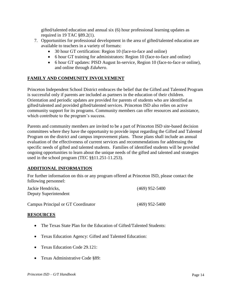gifted/talented education and annual six (6) hour professional learning updates as required in 19 TAC §89.2(1).

- 7. Opportunities for professional development in the area of gifted/talented education are available to teachers in a variety of formats:
	- 30 hour GT certification: Region 10 (face-to-face and online)
	- 6 hour GT training for administrators: Region 10 (face-to-face and online)
	- 6 hour GT updates: PISD August In-service, Region 10 (face-to-face or online), and online through *Eduhero*.

# **FAMILY AND COMMUNITY INVOLVEMENT**

Princeton Independent School District embraces the belief that the Gifted and Talented Program is successful only if parents are included as partners in the education of their children. Orientation and periodic updates are provided for parents of students who are identified as gifted/talented and provided gifted/talented services. Princeton ISD also relies on active community support for its programs. Community members can offer resources and assistance, which contribute to the program's success.

Parents and community members are invited to be a part of Princeton ISD site-based decision committees where they have the opportunity to provide input regarding the Gifted and Talented Program on the district and campus improvement plans. Those plans shall include an annual evaluation of the effectiveness of current services and recommendations for addressing the specific needs of gifted and talented students. Families of identified students will be provided ongoing opportunities to learn about the unique needs of the gifted and talented and strategies used in the school program (TEC §§11.251-11.253).

# **ADDITIONAL INFORMATION**

For further information on this or any program offered at Princeton ISD, please contact the following personnel:

| Jackie Hendricks.<br>Deputy Superintendent | $(469)$ 952-5400 |  |
|--------------------------------------------|------------------|--|
| Campus Principal or GT Coordinator         | $(469)$ 952-5400 |  |

# **RESOURCES**

- The Texas State Plan for the Education of Gifted/Talented Students:
- Texas Education Agency: Gifted and Talented Education:
- Texas Education Code 29.121:
- Texas Administrative Code §89: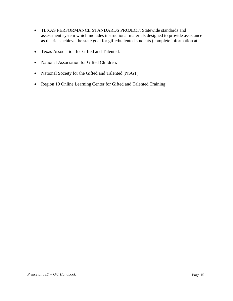- TEXAS PERFORMANCE STANDARDS PROJECT: Statewide standards and assessment system which includes instructional materials designed to provide assistance as districts achieve the state goal for gifted/talented students (complete information at
- Texas Association for Gifted and Talented:
- National Association for Gifted Children:
- National Society for the Gifted and Talented (NSGT):
- Region 10 Online Learning Center for Gifted and Talented Training: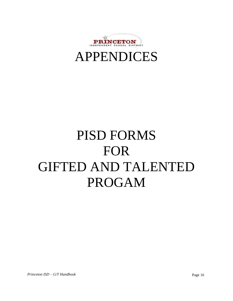



# PISD FORMS FOR GIFTED AND TALENTED PROGAM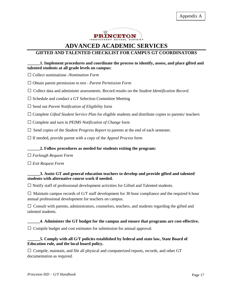

# **ADVANCED ACADEMIC SERVICES**

# **GIFTED AND TALENTED CHECKLIST FOR CAMPUS GT COORDINATORS**

#### **\_\_\_\_\_\_1. Implement procedures and coordinate the process to identify, assess, and place gifted and talented students at all grade levels on campus:**

□ Collect nominations -*Nomination Form*

□ Obtain parent permission to test - *Parent Permission Form*

□ Collect data and administer assessments. Record results on the *Student Identification Record.* 

 $\square$  Schedule and conduct a GT Selection Committee Meeting

□ Send out *Parent Notification of Eligibility* form

□ Complete *Gifted Student Service Plan* for eligible students and distribute copies to parents/ teachers

□ Complete and turn in *PEIMS Notification of Change* form

 $\Box$  Send copies of the *Student Progress Report* to parents at the end of each semester.

□ If needed, provide parent with a copy of the *Appeal Process* form

#### **\_\_\_\_\_\_2. Follow procedures as needed for students exiting the program:**

□ *Furlough Request Form*

□ *Exit Request Form*

#### **\_\_\_\_\_\_3. Assist GT and general education teachers to develop and provide gifted and talented students with alternative course work if needed.**

 $\square$  Notify staff of professional development activities for Gifted and Talented students.

 $\square$  Maintain campus records of G/T staff development for 30 hour compliance and the required 6 hour annual professional development for teachers on campus.

 $\square$  Consult with parents, administrators, counselors, teachers, and students regarding the gifted and talented students.

#### **\_\_\_\_\_\_4. Administer the GT budget for the campus and ensure that programs are cost-effective.**

 $\Box$  Compile budget and cost estimates for submission for annual approval.

#### **\_\_\_\_\_\_5. Comply with all G/T policies established by federal and state law, State Board of Education rule, and the local board policy.**

 $\square$  Compile, maintain, and file all physical and computerized reports, records, and other GT documentation as required.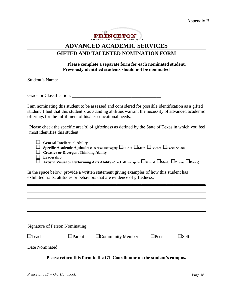Appendix B



# **ADVANCED ACADEMIC SERVICES GIFTED AND TALENTED NOMINATION FORM**

# **Please complete a separate form for each nominated student. Previously identified students should not be nominated**

Student's Name:

Grade or Classification: \_\_\_\_\_\_\_\_\_\_\_\_\_\_\_\_\_\_\_\_\_\_\_\_\_\_\_\_\_\_\_\_\_\_\_\_\_\_\_

I am nominating this student to be assessed and considered for possible identification as a gifted student. I feel that this student's outstanding abilities warrant the necessity of advanced academic offerings for the fulfillment of his/her educational needs.

\_\_\_\_\_\_\_\_\_\_\_\_\_\_\_\_\_\_\_\_\_\_\_\_\_\_\_\_\_\_\_\_\_\_\_\_\_\_\_\_\_\_\_\_\_\_\_\_\_\_\_\_\_\_\_\_\_\_\_\_\_\_\_\_\_\_\_\_\_\_\_

Please check the specific area(s) of giftedness as defined by the State of Texas in which you feel most identifies this student:

| $\Box$ General Intellectual Ability<br>$\Box$ Specific Academic Aptitude: (Check all that apply: $\Box$ ELAR $\Box$ Math $\Box$ Science $\Box$ Social Studies)<br>$\Box$ Creative or Divergent Thinking Ability |
|-----------------------------------------------------------------------------------------------------------------------------------------------------------------------------------------------------------------|
| $\Box$ Leadership<br>$\Box$ Artistic Visual or Performing Arts Ability (Check all that apply: $\Box$ Visual $\Box$ Music $\Box$ Drama $\Box$ Dance)                                                             |

In the space below, provide a written statement giving examples of how this student has exhibited traits, attitudes or behaviors that are evidence of giftedness.

| $\Box$ Teacher | $\Box$ Parent | $\Box$ Community Member | $\Box$ Peer | $\square$ Self |  |
|----------------|---------------|-------------------------|-------------|----------------|--|
|                |               |                         |             |                |  |
|                |               |                         |             |                |  |

**Please return this form to the GT Coordinator on the student's campus.**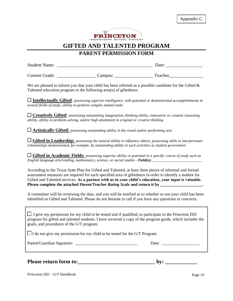

# **PARENT PERMISSION FORM**

| <b>Student Name:</b>  |         | Date:   |  |
|-----------------------|---------|---------|--|
|                       |         |         |  |
| <b>Current Grade:</b> | Campus: | Teacher |  |

We are pleased to inform you that your child has been referred as a possible candidate for the Gifted  $\&$ Talented education program in the following area(s) of giftedness:

**Intellectually Gifted**: *possessing superior intelligence, with potential or demonstrated accomplishments in several fields of study; ability to perform complex mental tasks*

**Creatively Gifted**: *possessing outstanding imagination, thinking ability, innovative or creative reasoning ability, ability in problem solving, and/or high attainment in original or creative thinking*

**Artistically Gifted:** *possessing outstanding ability in the visual and/or performing arts*

**Gifted in Leadership:** *possessing the natural ability to influence others; possessing skills in interpersonal relationships demonstrated, for example, by outstanding ability in such activities as student government*

**Gifted in Academic Fields:** *possessing superior ability or potential in a specific course of study such as English language arts/reading, mathematics, science, or social studies -* **Field(s):** *\_\_\_\_\_\_\_\_\_\_\_\_\_\_\_\_\_\_\_\_\_\_\_\_\_\_*

According to the Texas State Plan for Gifted and Talented, at least three pieces of informal and formal assessment measures are required for each specified area of giftedness in order to identify a student for Gifted and Talented services. **As a partner with us in your child's education, your input is valuable. Please complete the attached** *Parent/Teacher Rating Scale* **and return it by \_\_\_\_\_\_\_\_\_\_\_\_\_\_\_\_\_\_\_\_.** 

A committee will be reviewing the data, and you will be notified as to whether or not your child has been identified as Gifted and Talented. Please do not hesitate to call if you have any questions or concerns.

 $\Box$  I give my permission for my child to be tested and if qualified, to participate in the Princeton ISD program for gifted and talented students. I have received a copy of the program guide, which includes the goals, and procedures of the G/T program.

 $\Box$  I do not give my permission for my child to be tested for the G/T Program.

Parent/Guardian Signature: \_\_\_\_\_\_\_\_\_\_\_\_\_\_\_\_\_\_\_\_\_\_\_\_\_\_\_\_\_\_ Date: \_\_\_\_\_\_\_\_\_\_\_\_\_\_\_\_\_\_

# **Please return form to:** by: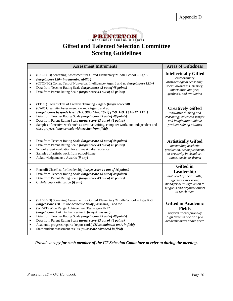

# **Gifted and Talented Selection Committee Scoring Guidelines**

| <b>Assessment Instruments</b>                                                                                                                                                                                                                                                                                                                                                                                                                                                                                                                                                                                          | <b>Areas of Giftedness</b>                                                                                                                                                 |
|------------------------------------------------------------------------------------------------------------------------------------------------------------------------------------------------------------------------------------------------------------------------------------------------------------------------------------------------------------------------------------------------------------------------------------------------------------------------------------------------------------------------------------------------------------------------------------------------------------------------|----------------------------------------------------------------------------------------------------------------------------------------------------------------------------|
| (SAGES 3) Screening Assessment for Gifted Elementary/Middle School - Age 5<br>(target score $120+$ in reasoning ability)<br>(CTONI-2) Comp. Test of Nonverbal Intelligence-Ages 6 and up (target score 121+)<br>$\bullet$<br>Data from Teacher Rating Scale (target score 43 out of 48 points)<br>$\bullet$<br>Data from Parent Rating Scale (target score 43 out of 48 points)<br>$\bullet$                                                                                                                                                                                                                           | <b>Intellectually Gifted</b><br>extraordinary<br>abstract/logical reasoning,<br>social awareness, memory,<br>information analysis,<br>synthesis, and evaluation            |
| (TTCT) Torrens Test of Creative Thinking - Age 5 (target score 90)<br>(CAP) Creativity Assessment Packet - Ages 6 and up<br>$\bullet$<br>(target scores by grade level: $(1-3: 96+)$ (4-6: 102+) (7-9: 109+) (10-12: 117+)<br>Data from Teacher Rating Scale (target score 43 out of 48 points)<br>$\bullet$<br>Data from Parent Rating Scale (target score 43 out of 48 points)<br>$\bullet$<br>Samples of creative work such as creative writing, computer work, and independent and<br>$\bullet$<br>class projects (may consult with teacher from field)                                                            | <b>Creatively Gifted</b><br>innovative thinking and<br>reasoning; advanced insight<br>and imagination; unique<br>problem solving abilities                                 |
| Data from Teacher Rating Scale (target score 43 out of 48 points)<br>٠<br>Data from Parent Rating Scale (target score 43 out of 48 points)<br>٠<br>School expert evaluation for art, music, drama, dance<br>$\bullet$<br>Samples of artistic work from school/home<br>$\bullet$<br>Acknowledgements / Awards (if any)<br>$\bullet$                                                                                                                                                                                                                                                                                     | <b>Artistically Gifted</b><br>outstanding aesthetic<br>production, accomplishment,<br>or creativity in visual art,<br>dance, music, or drama                               |
| Renzulli Checklist for Leadership (target score 14 out of 16 points)<br>Data from Teacher Rating Scale (target score 43 out of 48 points)<br>$\bullet$<br>Data from Parent Rating Scale (target score 43 out of 48 points)<br>$\bullet$<br>Club/Group Participation (if any)<br>$\bullet$                                                                                                                                                                                                                                                                                                                              | <b>Gifted</b> in<br>Leadership<br>high level of social skills;<br>effective expression;<br>managerial ability; vision to<br>set goals and organize others<br>to reach them |
| (SAGES 3) Screening Assessment for Gifted Elementary/Middle School - Ages K-8<br>$\bullet$<br>(target score $120+$ in the academic field(s) assessed); and /or<br>(WRAT) Wide Range Achievement Test - ages K-12<br>$\bullet$<br>(target score: $120+$ in the academic field(s) assessed)<br>Data from Teacher Rating Scale (target score 43 out of 48 points)<br>$\bullet$<br>Data from Parent Rating Scale (target score 43 out of 48 points)<br>$\bullet$<br>Academic progress reports (report cards) (Must maintain an A in field)<br>$\bullet$<br>State student assessment results (must score advanced in field) | <b>Gifted in Academic</b><br><b>Fields</b><br>perform at exceptionally<br>high levels in one or a few<br>academic areas above peers                                        |

*Provide a copy for each member of the GT Selection Committee to refer to during the meeting.*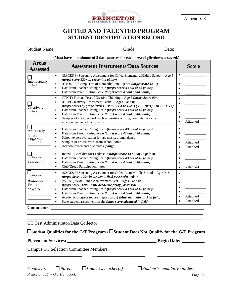

Appendix E

# **GIFTED AND TALENTED PROGRAM STUDENT IDENTIFICATION RECORD**

| <b>Student Name:</b><br>$-1$ | Jate <sup>.</sup> |  |
|------------------------------|-------------------|--|
|------------------------------|-------------------|--|

**(Must have a minimum of 3 data sources for each area of giftedness assessed.)**

| Intellectually<br>Gifted                                                 | (SAGES 3) Screening Assessment for Gifted Elementary/Middle School - Age 5<br>$\bullet$<br>(target score $120+$ in reasoning ability)<br>(CTONI-2) Comp. Test of Nonverbal Intelligence (target score 121+)<br>$\bullet$<br>Data from Teacher Rating Scale (target score 43 out of 48 points)<br>$\bullet$<br>Data from Parent Rating Scale (target score 43 out of 48 points)<br>$\bullet$                                                                                                                                                                                                                             |                                                |
|--------------------------------------------------------------------------|-------------------------------------------------------------------------------------------------------------------------------------------------------------------------------------------------------------------------------------------------------------------------------------------------------------------------------------------------------------------------------------------------------------------------------------------------------------------------------------------------------------------------------------------------------------------------------------------------------------------------|------------------------------------------------|
| Creatively<br>Gifted                                                     | (TTCT) Torrens Test of Creative Thinking - Age 5 (target Score 90)<br>$\bullet$<br>(CAP) Creativity Assessment Packet - Ages 6 and up<br>$\bullet$<br>(target scores by grade level: $(1-3: 96+)$ (4-6: 102+) (7-9: 109+) (10-12: 117+)<br>Data from Teacher Rating Scale (target score 43 out of 48 points)<br>$\bullet$<br>Data from Parent Rating Scale (target score 43 out of 48 points)<br>$\bullet$<br>Samples of creative work such as creative writing, computer work, and<br>$\bullet$<br>independent and class projects                                                                                      | Attached<br>$\bullet$                          |
| Artistically<br>Gifted<br>$*Field(s):$                                   | Data from Teacher Rating Scale (target score 43 out of 48 points)<br>$\bullet$<br>Data from Parent Rating Scale (target score 43 out of 48 points)<br>$\bullet$<br>School expert evaluation for art, music, drama, dance<br>$\bullet$<br>Samples of artistic work from school/home<br>$\bullet$<br>Acknowledgements / Awards (if any)<br>$\bullet$                                                                                                                                                                                                                                                                      | Attached<br>$\bullet$<br>Attached<br>$\bullet$ |
| Gifted in<br>Leadership                                                  | Renzulli Checklist for Leadership (target score 14 out of 16 points)<br>$\bullet$<br>Data from Teacher Rating Scale (target score 43 out of 48 points)<br>$\bullet$<br>Data from Parent Rating Scale (target score 43 out of 48 points)<br>$\bullet$<br>Club/Group Participation if any<br>$\bullet$                                                                                                                                                                                                                                                                                                                    | $\bullet$<br>Attached<br>$\bullet$             |
| П<br>Gifted in<br>Academic<br>Fields<br>$*Field(s):$<br><b>Comments:</b> | (SAGES 3) Screening Assessment for Gifted Elem/Middle School - Ages K-8<br>$\bullet$<br>(target Score 120+ in academic field assessed); and/or<br>(WRAT) Wide Range Achievement Test - Ages 6 and up<br>$\bullet$<br>(target score: $120+$ in the academic field(s) assessed)<br>Data from Teacher Rating Scale (target score 43 out of 48 points)<br>$\bullet$<br>Data from Parent Rating Scale (target score 43 out of 48 points)<br>$\bullet$<br>Academic progress reports (report cards) (Must maintain an A in field)<br>$\bullet$<br>State student assessment results (must score advanced in field)<br>$\bullet$ | $\bullet$<br>Attached<br>Attached              |

#### **\_\_\_\_\_\_\_\_\_\_\_\_\_\_\_\_\_\_\_\_\_\_\_\_\_\_\_\_\_\_\_\_\_\_\_\_\_\_\_\_\_\_\_\_\_\_\_\_\_\_\_\_\_\_\_\_\_\_\_\_\_\_\_\_\_\_\_\_\_\_\_\_\_\_\_\_\_** GT Test Administrator/Data Collector: \_\_\_\_\_\_\_\_\_\_\_\_\_\_\_\_\_\_\_\_\_\_\_\_\_\_\_\_\_\_\_

**Student Qualifies for the G/T Program / Student Does Not Qualify for the G/T Program**

\_\_\_\_\_\_\_\_\_\_\_\_\_\_\_\_\_\_\_\_\_\_\_\_ \_\_\_\_\_\_\_\_\_\_\_\_\_\_\_\_\_\_\_\_\_\_\_ \_\_\_\_\_\_\_\_\_\_\_\_\_\_\_\_\_\_\_\_

**\_\_\_\_\_\_\_\_\_\_\_\_\_\_\_\_\_\_\_\_\_\_\_\_\_\_\_\_\_\_\_\_\_\_\_\_\_\_\_\_\_\_\_\_\_\_\_\_\_\_\_\_\_\_\_\_\_\_\_\_\_\_\_\_\_\_\_\_\_\_\_\_\_\_\_\_\_**

**Placement Services: \_\_\_\_\_\_\_\_\_\_\_\_\_\_\_\_\_\_\_\_\_\_\_\_\_\_\_\_\_\_\_\_\_\_\_\_\_\_\_ Begin Date: \_\_\_\_\_\_\_\_\_\_**

Campus GT Selection Committee Members:

\_\_\_\_\_\_\_\_\_\_\_\_\_\_\_\_\_\_\_\_\_\_\_\_ \_\_\_\_\_\_\_\_\_\_\_\_\_\_\_\_\_\_\_\_\_\_\_ \_\_\_\_\_\_\_\_\_\_\_\_\_\_\_\_\_\_\_\_ *Copies to:*  $\Box$  *Parent*  $\Box$  *Student's teacher(s)*  $\Box$  *Student's cumulative folder.*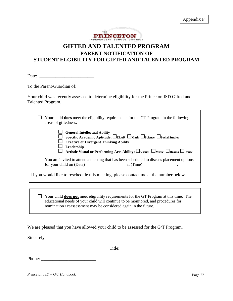

# **PARENT NOTIFICATION OF STUDENT ELGIBILITY FOR GIFTED AND TALENTED PROGRAM**

Date:

To the Parent/Guardian of: \_\_\_\_\_\_\_\_\_\_\_\_\_\_\_\_\_\_\_\_\_\_\_\_\_\_\_\_\_\_\_\_\_\_\_\_\_\_\_\_\_\_\_\_\_\_\_\_

Ē

Your child was recently assessed to determine eligibility for the Princeton ISD Gifted and Talented Program.

| Your child <b>does</b> meet the eligibility requirements for the GT Program in the following<br>areas of giftedness.                                                                                                                                                                                                                                                                      |
|-------------------------------------------------------------------------------------------------------------------------------------------------------------------------------------------------------------------------------------------------------------------------------------------------------------------------------------------------------------------------------------------|
| <b>General Intellectual Ability</b><br>Specific Academic Aptitude: $\square_{\text{ELAR}} \square_{\text{Math}} \square_{\text{Science}} \square_{\text{Social Studies}}$<br><b>Creative or Divergent Thinking Ability</b><br>Leadership<br>Artistic Visual or Performing Arts Ability: $\square_{\text{Visual}}\ \square_{\text{Music}}\ \square_{\text{Drama}}\ \square_{\text{Dance}}$ |
| You are invited to attend a meeting that has been scheduled to discuss placement options<br>for your child on (Date) at (Time)                                                                                                                                                                                                                                                            |
| If you would like to reschedule this meeting, please contact me at the number below.                                                                                                                                                                                                                                                                                                      |
|                                                                                                                                                                                                                                                                                                                                                                                           |
| Your child <b>does not</b> meet eligibility requirements for the GT Program at this time. The<br>educational needs of your child will continue to be monitored, and procedures for<br>nomination / reassessment may be considered again in the future.                                                                                                                                    |

We are pleased that you have allowed your child to be assessed for the G/T Program.

Sincerely,

\_\_\_\_\_\_\_\_\_\_\_\_\_\_\_\_\_\_\_\_\_\_\_\_\_\_\_\_\_\_ Title: \_\_\_\_\_\_\_\_\_\_\_\_\_\_\_\_\_\_\_\_\_\_\_\_\_

Phone: \_\_\_\_\_\_\_\_\_\_\_\_\_\_\_\_\_\_\_\_\_\_\_\_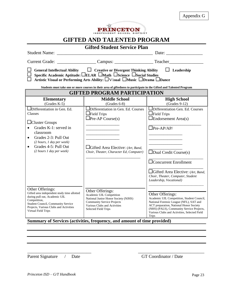| Appendix G |  |
|------------|--|
|------------|--|



| <b>Gifted Student Service Plan</b>                                                                                                                                                                                                                                                                   |                                                                                                                                                                                                                      |                                                                                                                                                                                                                                                                                       |  |  |  |
|------------------------------------------------------------------------------------------------------------------------------------------------------------------------------------------------------------------------------------------------------------------------------------------------------|----------------------------------------------------------------------------------------------------------------------------------------------------------------------------------------------------------------------|---------------------------------------------------------------------------------------------------------------------------------------------------------------------------------------------------------------------------------------------------------------------------------------|--|--|--|
| Date: $\qquad \qquad$                                                                                                                                                                                                                                                                                |                                                                                                                                                                                                                      |                                                                                                                                                                                                                                                                                       |  |  |  |
| <b>Current Grade:</b>                                                                                                                                                                                                                                                                                |                                                                                                                                                                                                                      |                                                                                                                                                                                                                                                                                       |  |  |  |
| $\Box$ Creative or Divergent Thinking Ability<br>$\Box$ Leadership<br><b>General Intellectual Ability</b><br>Specific Academic Aptitude: □ELAR □Math □Science □Social Studies<br>Artistic Visual or Performing Arts Ability: □Visual □Music □Drama □Dance                                            |                                                                                                                                                                                                                      |                                                                                                                                                                                                                                                                                       |  |  |  |
|                                                                                                                                                                                                                                                                                                      | Students must take one or more courses in their area of giftedness to participate in the Gifted and Talented Program<br><b>GIFTED PROGRAM PARTICIPATION</b>                                                          |                                                                                                                                                                                                                                                                                       |  |  |  |
| <b>Elementary</b><br>$(Grades K-5)$                                                                                                                                                                                                                                                                  | <b>Middle School</b><br>$(Grades 6-8)$                                                                                                                                                                               | <b>High School</b><br>$(Grades 9-12)$                                                                                                                                                                                                                                                 |  |  |  |
| Differentiation in Gen. Ed.<br>Classes<br>$\Box$ Cluster Groups<br>Grades K-1: served in<br>classroom<br>Grades 2-3: Pull Out<br>$\bullet$<br>(2 hours, 1 day per week)<br>Grades 4-5: Pull Out<br>$\bullet$<br>(2 hours 1 day per week)                                                             | Differentiation in Gen. Ed. Courses<br>$\Box$ Field Trips<br>$\Box$ Pre-AP Course(s)<br>Gifted Area Elective: (Art, Band,<br>Choir, Theater, Character Ed, Computer)                                                 | Differentiation Gen. Ed. Courses<br>$\Box$ Field Trips<br>$\Box$ Endorsement Area(s)<br>$\Box$ Pre-AP/AP/<br>$\Box$ Dual Credit Course(s)<br>$\Box$ Concurrent Enrollment<br>$\Box$ Gifted Area Elective: (Art, Band,<br>Choir, Theater, Computer, Student<br>Leadership, Vocational) |  |  |  |
| Other Offerings:<br>Gifted area independent study time allotted<br>during pull out, Academic UIL<br>Competition,<br>Student Council, Community Service<br>Projects, Various Clubs and Activities<br>Virtual Field Trips<br>$\mathbf{e}$ $\alpha$<br>$\bullet$<br>$10 - 0.10$<br>$\sim$<br>$\epsilon$ | Other Offerings:<br>Academic UIL Competition<br>National Junior Honor Society (NJHS)<br><b>Community Service Projects</b><br>Various Clubs and Activities<br><b>Selected Field Trips</b><br>$\mathbf{u}$<br>e<br>0.1 | Other Offerings:<br>Academic UIL Competition, Student Council,<br>National Forensic League (NFL), SAT and<br>ACT preparation, National Honor Society<br>(NHS) (PALS), Community Service Projects,<br>Various Clubs and Activities, Selected Field<br><b>Trips</b><br>$\bullet$ 1 1 1  |  |  |  |

**Summary of Services (activities, frequency, and amount of time provided)**

\_\_\_\_\_\_\_\_\_\_\_\_\_\_\_\_\_\_\_\_\_\_\_\_\_\_\_\_ \_\_\_\_\_\_\_\_\_\_\_\_\_\_\_\_\_\_\_\_\_\_\_\_\_\_\_\_\_

Parent Signature / Date GT Coordinator / Date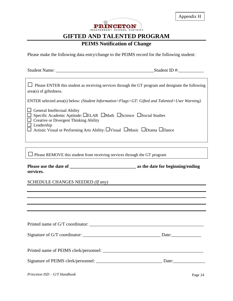

# **PEIMS Notification of Change**

Please make the following data entry/change to the PEIMS record for the following student:

| $\Box$ Please ENTER this student as receiving services through the GT program and designate the following<br>area(s) of giftedness.<br>ENTER selected area(s) below: (Student Information>Flags>GT: Gifted and Talented>User Warning)<br>General Intellectual Ability<br>Specific Academic Aptitude: LELAR LMath LScience LSocial Studies<br>Creative or Divergent Thinking Ability<br>Leadership<br>Artistic Visual or Performing Arts Ability: □Visual □Music □Drama □Dance | <b>Student Name:</b> | Student ID #: $\_\_$ |
|-------------------------------------------------------------------------------------------------------------------------------------------------------------------------------------------------------------------------------------------------------------------------------------------------------------------------------------------------------------------------------------------------------------------------------------------------------------------------------|----------------------|----------------------|
|                                                                                                                                                                                                                                                                                                                                                                                                                                                                               |                      |                      |
|                                                                                                                                                                                                                                                                                                                                                                                                                                                                               |                      |                      |
|                                                                                                                                                                                                                                                                                                                                                                                                                                                                               |                      |                      |

 $\square$  Please REMOVE this student from receiving services through the GT program

**Please use the date of \_\_\_\_\_\_\_\_\_\_\_\_\_\_\_\_\_\_\_\_\_\_\_\_\_\_\_\_\_ as the date for beginning/ending services.**

#### SCHEDULE CHANGES NEEDED *(If any)*

| Printed name of G/T coordinator: |  |
|----------------------------------|--|
|                                  |  |
|                                  |  |
|                                  |  |
|                                  |  |
|                                  |  |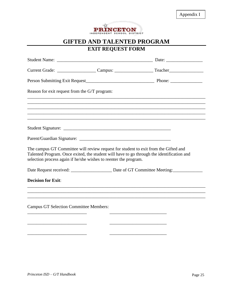

# **EXIT REQUEST FORM**

| Reason for exit request from the G/T program:                                                                                                                                                                                                        |                                                                            |                                                                                                      |
|------------------------------------------------------------------------------------------------------------------------------------------------------------------------------------------------------------------------------------------------------|----------------------------------------------------------------------------|------------------------------------------------------------------------------------------------------|
|                                                                                                                                                                                                                                                      |                                                                            |                                                                                                      |
|                                                                                                                                                                                                                                                      |                                                                            | ,我们也不能在这里的时候,我们也不能在这里的时候,我们也不能会在这里的时候,我们也不能会在这里的时候,我们也不能会在这里的时候,我们也不能会在这里的时候,我们也不                    |
|                                                                                                                                                                                                                                                      |                                                                            |                                                                                                      |
|                                                                                                                                                                                                                                                      |                                                                            |                                                                                                      |
| The campus GT Committee will review request for student to exit from the Gifted and<br>Talented Program. Once exited, the student will have to go through the identification and<br>selection process again if he/she wishes to reenter the program. |                                                                            |                                                                                                      |
|                                                                                                                                                                                                                                                      |                                                                            | Date Request received: ________________________ Date of GT Committee Meeting: ______________________ |
| <b>Decision for Exit:</b>                                                                                                                                                                                                                            |                                                                            | ,我们也不能在这里,我们也不能会在这里,我们也不能会在这里,我们也不能会在这里,我们也不能会不能会不能会。""我们,我们也不能会不能会不能会不能会不能会不能会不                     |
|                                                                                                                                                                                                                                                      |                                                                            |                                                                                                      |
| <b>Campus GT Selection Committee Members:</b>                                                                                                                                                                                                        |                                                                            |                                                                                                      |
|                                                                                                                                                                                                                                                      | the control of the control of the control of the control of the control of |                                                                                                      |
|                                                                                                                                                                                                                                                      |                                                                            |                                                                                                      |
|                                                                                                                                                                                                                                                      |                                                                            |                                                                                                      |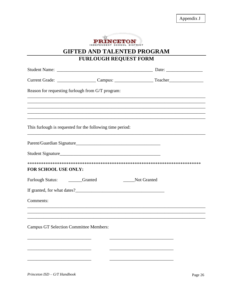Appendix J



**GIFTED AND TALENTED PROGRAM** 

# FURLOUGH REQUEST FORM

|                                                           |                                                          | Date: $\frac{1}{\sqrt{1-\frac{1}{2}} \cdot \frac{1}{2}}$ |
|-----------------------------------------------------------|----------------------------------------------------------|----------------------------------------------------------|
|                                                           |                                                          |                                                          |
| Reason for requesting furlough from G/T program:          |                                                          |                                                          |
|                                                           |                                                          |                                                          |
|                                                           |                                                          |                                                          |
|                                                           |                                                          |                                                          |
| This furlough is requested for the following time period: |                                                          |                                                          |
|                                                           |                                                          |                                                          |
|                                                           |                                                          |                                                          |
| FOR SCHOOL USE ONLY:                                      |                                                          |                                                          |
| Furlough Status: _______Granted                           | Not Granted                                              |                                                          |
|                                                           |                                                          |                                                          |
| Comments:                                                 |                                                          |                                                          |
|                                                           |                                                          |                                                          |
| <b>Campus GT Selection Committee Members:</b>             | <u> 1980 - Johann John Stone, mars eta biztanleria (</u> |                                                          |
|                                                           |                                                          |                                                          |

Princeton ISD - G/T Handbook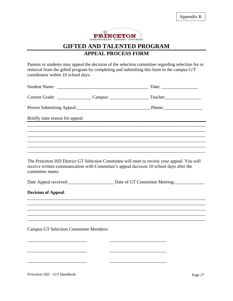

# **APPEAL PROCESS FORM**

Parents or students may appeal the decision of the selection committee regarding selection for or removal from the gifted program by completing and submitting this form to the campus G/T coordinator within 10 school days.

|                                               | Briefly state reason for appeal:                                                                                                                                                       |  |
|-----------------------------------------------|----------------------------------------------------------------------------------------------------------------------------------------------------------------------------------------|--|
|                                               |                                                                                                                                                                                        |  |
|                                               |                                                                                                                                                                                        |  |
|                                               |                                                                                                                                                                                        |  |
|                                               | ,我们也不能在这里的时候,我们也不能在这里的时候,我们也不能会在这里的时候,我们也不能会在这里的时候,我们也不能会在这里的时候,我们也不能会在这里的时候,我们也不                                                                                                      |  |
| committee meets.                              | The Princeton ISD District GT Selection Committee will meet to review your appeal. You will<br>receive written communication with Committee's appeal decision 10 school days after the |  |
|                                               | Date Appeal received:<br><u>Date of GT Committee Meeting:</u>                                                                                                                          |  |
| <b>Decision of Appeal:</b>                    |                                                                                                                                                                                        |  |
|                                               |                                                                                                                                                                                        |  |
|                                               |                                                                                                                                                                                        |  |
|                                               |                                                                                                                                                                                        |  |
| <b>Campus GT Selection Committee Members:</b> |                                                                                                                                                                                        |  |
|                                               |                                                                                                                                                                                        |  |
|                                               |                                                                                                                                                                                        |  |

\_\_\_\_\_\_\_\_\_\_\_\_\_\_\_\_\_\_\_\_\_\_\_\_\_\_ \_\_\_\_\_\_\_\_\_\_\_\_\_\_\_\_\_\_\_\_\_\_\_\_\_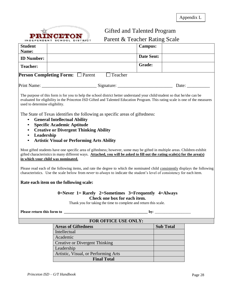**PRINCE PON** 

Appendix L

# Gifted and Talented Program

Parent & Teacher Rating Scale

| <b>Student</b><br>Name:                                        |                                                                                                                                                                                                                                                                                                | <b>Campus:</b> |                  |       |  |
|----------------------------------------------------------------|------------------------------------------------------------------------------------------------------------------------------------------------------------------------------------------------------------------------------------------------------------------------------------------------|----------------|------------------|-------|--|
| <b>ID Number:</b>                                              |                                                                                                                                                                                                                                                                                                | Date Sent:     |                  |       |  |
| <b>Teacher:</b>                                                |                                                                                                                                                                                                                                                                                                | Grade:         |                  |       |  |
|                                                                | <b>Person Completing Form:</b> □ Parent<br>$\Box$ Teacher                                                                                                                                                                                                                                      |                |                  |       |  |
|                                                                |                                                                                                                                                                                                                                                                                                |                |                  | Date: |  |
| used to determine eligibility.                                 | The purpose of this form is for you to help the school district better understand your child/student so that he/she can be<br>evaluated for eligibility in the Princeton ISD Gifted and Talented Education Program. This rating scale is one of the measures                                   |                |                  |       |  |
| $\bullet$<br>$\bullet$<br>Leadership<br>$\bullet$<br>$\bullet$ | The State of Texas identifies the following as specific areas of giftedness:<br><b>General Intellectual Ability</b><br><b>Specific Academic Aptitude</b><br><b>Creative or Divergent Thinking Ability</b><br><b>Artistic Visual or Performing Arts Ability</b>                                 |                |                  |       |  |
|                                                                | Most gifted students have one specific area of giftedness; however, some may be gifted in multiple areas. Children exhibit<br>gifted characteristics in many different ways. Attached, you will be asked to fill out the rating scale(s) for the area(s)<br>in which your child was nominated. |                |                  |       |  |
|                                                                | Please read each of the following items, and rate the degree to which the nominated child consistently displays the following<br>characteristics. Use the scale below from <i>never</i> to <i>always</i> to indicate the student's level of consistency for each item.                         |                |                  |       |  |
|                                                                | Rate each item on the following scale:                                                                                                                                                                                                                                                         |                |                  |       |  |
|                                                                | 0=Never 1= Rarely 2=Sometimes 3=Frequently 4=Always<br>Check one box for each item.<br>Thank you for taking the time to complete and return this scale.                                                                                                                                        |                |                  |       |  |
| <b>Please return this form to</b><br>by: $\_\_$                |                                                                                                                                                                                                                                                                                                |                |                  |       |  |
| FOR OFFICE USE ONLY:                                           |                                                                                                                                                                                                                                                                                                |                |                  |       |  |
|                                                                | <b>Areas of Giftedness</b>                                                                                                                                                                                                                                                                     |                | <b>Sub Total</b> |       |  |
|                                                                | Intellectual                                                                                                                                                                                                                                                                                   |                |                  |       |  |
|                                                                | Academic                                                                                                                                                                                                                                                                                       |                |                  |       |  |
|                                                                | <b>Creative or Divergent Thinking</b>                                                                                                                                                                                                                                                          |                |                  |       |  |
|                                                                | Leadership                                                                                                                                                                                                                                                                                     |                |                  |       |  |
|                                                                | Artistic, Visual, or Performing Arts                                                                                                                                                                                                                                                           |                |                  |       |  |

**Final Total**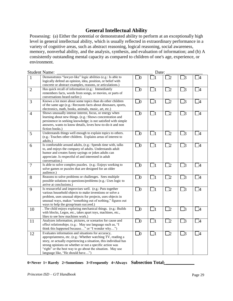# **General Intellectual Ability**

Possessing: (a) Either the potential or demonstrated ability to perform at an exceptionally high level in general intellectual ability, which is usually reflected in extraordinary performance in a variety of cognitive areas, such as abstract reasoning, logical reasoning, social awareness, memory, nonverbal ability, and the analysis, synthesis, and evaluation of information; and (b) A consistently outstanding mental capacity as compared to children of one's age, experience, or environment.

|                | <b>Student Name:</b>                                                                                                                                                                                                                                                                                                                               |             | Date:    |                |             |                          |
|----------------|----------------------------------------------------------------------------------------------------------------------------------------------------------------------------------------------------------------------------------------------------------------------------------------------------------------------------------------------------|-------------|----------|----------------|-------------|--------------------------|
| 1              | Demonstrates "lawyer-like" logic abilities (e.g.: Is able to<br>logically defend an opinion, idea, position, or belief with<br>concrete or abstract examples, reasons, or articulations.)                                                                                                                                                          | $\square_0$ |          | $\overline{2}$ | ]3          | -4                       |
| $\overline{2}$ | Has quick recall of information (e.g.: Immediately<br>remembers facts, words from songs, or movies, or parts of<br>conversations heard earlier.)                                                                                                                                                                                                   | $\square$   | $\Box$ 1 | þ.             | $\Box$ 3    | $\Box$                   |
| 3              | Knows a lot more about some topics than do other children<br>of the same age (e.g.: Recounts facts about dinosaurs, sports,<br>electronics, math, books, animals, music, art, etc.)                                                                                                                                                                | $\square_0$ | $\Box_1$ | $\Box$ 2       | $\square$ 3 | $\Box$ 4                 |
| $\overline{4}$ | Shows unusually intense interest, focus, or energy when<br>learning about new things. (e.g.: Shows concentration and<br>persistence in seeking knowledge; is not satisfied with simple<br>answers, wants to know details, loves how-to-do-it and non<br>fiction books.)                                                                            | $\square$   | $\Box_1$ | ]2             | $\exists$ 3 | _4                       |
| 5              | Understands things well enough to explain topics to others.<br>(e.g.: Teaches other children. Explains areas of interest to<br>adults.)                                                                                                                                                                                                            | $\square_0$ | $\Box_1$ | l2             | B           | _4                       |
| 6              | Is comfortable around adults, (e.g.: Spends time with, talks<br>to, and enjoys the company of adults. Understands adult<br>humor and creates funny sayings or jokes adults can<br>appreciate. Is respectful of and interested in adult<br>conversation.)                                                                                           | $\Box$      | $\Box_1$ | ]2             | $\square$ 3 | $\Box$ 4                 |
| $\overline{7}$ | Is able to solve complex puzzles. (e.g.: Enjoys working to<br>solve games or puzzles that are designed for an older<br>audience.)                                                                                                                                                                                                                  | $\square$   | $\Box$ 1 | ]2             | $\square$ 3 | $\overline{\phantom{1}}$ |
| 8              | Reasons to solve problems or challenges. Sees multiple<br>possible solutions to questions/problems (e.g.: Uses logic to<br>arrive at conclusions.)                                                                                                                                                                                                 | $\Box$      | $\Box$ 1 | $\Box$ 2       | $\Box$ 3    | $\square$ 4              |
| 9              | Is resourceful and improvises well. (e.g.: Puts together<br>various household objects to make inventions or solve a<br>problem, uses unusual objects for projects, uses objects in<br>unusual ways, makes "something out of nothing," figures out<br>ways to help the group/team succeed.)                                                         | $\Box$ 0    | $\Box$ 1 | <u>ער</u>      | $\square$ 3 | - 14                     |
| 10             | . The child enjoys exploring mechanical things. (e.g.: Builds<br>with blocks, Legos, etc., takes apart toys, machines, etc.,<br>likes to see how machines work.)                                                                                                                                                                                   | $\square_0$ | $\Box$ 1 | CZ             | $\square$ 3 | $\Box 4$                 |
| 11             | Analyzes information, pictures, or scenarios for cause and<br>effect relationships. (e.g.: May use language such as, "I<br>think this happened because" or "I wonder why")                                                                                                                                                                         | $\square_0$ | $\Box_1$ | l2             | kI          | - 14                     |
| 12             | Evaluates information and situations for accuracy,<br>appropriateness, etc. (e.g.: Whether watching TV, reading a<br>story, or actually experiencing a situation, this individual has<br>strong opinions on whether or not a specific action was<br>"right" or the best way to go about the situation. May use<br>language like, "He should have") | $\Box$      | $\Box$ 1 | ]2             | $\exists$ 3 | $\Box$ 4                 |

#### 0=Never 1= Rarely 2=Sometimes 3=Frequently 4=Always Subsection Total<sub>i</sub>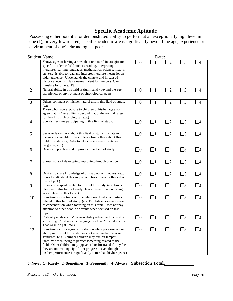# **Specific Academic Aptitude**

Possessing either potential or demonstrated ability to perform at an exceptionally high level in one (1), or very few related, specific academic areas significantly beyond the age, experience or environment of one's chronological peers.

|                | <b>Student Name:</b>                                                                                                                                                                                                                                                                                                                                                                                                                           |             | Date:    |                |             |                |
|----------------|------------------------------------------------------------------------------------------------------------------------------------------------------------------------------------------------------------------------------------------------------------------------------------------------------------------------------------------------------------------------------------------------------------------------------------------------|-------------|----------|----------------|-------------|----------------|
| $\mathbf{1}$   | Shows signs of having a raw talent or natural innate gift for a<br>specific academic field such as reading, interpreting<br>literature, learning languages, mathematics, science, history,<br>etc. (e.g. Is able to read and interpret literature meant for an<br>older audience. Understands the context and impact of<br>historical events. Has a natural talent for numbers. Can<br>translate for others. Etc.)                             | $\Box$ 0    |          | $\mathbf{D}$   | $\square$ 3 | $\overline{A}$ |
| $\overline{2}$ | Natural ability in this field is significantly beyond the age,<br>experience, or environment of chronological peers.                                                                                                                                                                                                                                                                                                                           | $\square$   | $\Box$ 1 | $\Box$ 2       | $\square$ 3 | $\Box 4$       |
| 3              | Others comment on his/her natural gift in this field of study.<br>(e.g.<br>Those who have exposure to children of his/her age also<br>agree that his/her ability is beyond that of the normal range<br>for the child's chronological age.)                                                                                                                                                                                                     | $\Box$      | $\Box$ 1 | 72             | $\Box$ 3    | <sup>4</sup>   |
| $\overline{4}$ | Spends free time participating in this field of study.                                                                                                                                                                                                                                                                                                                                                                                         | $\Box$ 0    | $\Box_1$ | $\Box$ 2       | $\square$ 3 | $\overline{a}$ |
| 5              | Seeks to learn more about this field of study in whatever<br>means are available. Likes to learn from others about this<br>field of study. (e.g. Asks to take classes, reads, watches<br>programs, etc.)                                                                                                                                                                                                                                       | $\Box$      | $\Box_1$ | $\overline{2}$ | $\Box$ 3    | T4             |
| 6              | Desires to practice and improve in this field of study.                                                                                                                                                                                                                                                                                                                                                                                        | $\Box$ 0    | $\Box$ 1 | $\Box$ 2       | $\Box$ 3    | $\mathsf{T}_4$ |
| $\overline{7}$ | Shows signs of developing/improving through practice.                                                                                                                                                                                                                                                                                                                                                                                          | $\square_0$ | $\Box_1$ | $\Box$         | $\square$ 3 | $\Box 4$       |
| 8              | Desires to share knowledge of this subject with others. (e.g.<br>Likes to talk about this subject and tries to teach others about<br>this subject.)                                                                                                                                                                                                                                                                                            | $\Box$      | $\Box$ 1 | $\Box$ 2       | $\square$ 3 | $\mathbb{L}$   |
| 9              | Enjoys time spent related to this field of study. (e.g. Finds<br>pleasure in this field of study. Is not resentful about doing<br>work related to this topic.)                                                                                                                                                                                                                                                                                 | $\Box$      | $\Box$   | $\Box$ 2       | $\square$ 3 | $\Box 4$       |
| 10             | Sometimes loses track of time while involved in activities<br>related to this field of study. (e.g. Exhibits an extreme sense<br>of concentration when focusing on this topic. Does not pay<br>attention to other people or events when focused on this<br>topic.)                                                                                                                                                                             | $\Box$ 0    | $\Box$ 1 | $\mathbb{Z}^2$ | $\square$ 3 | $\overline{A}$ |
| 11             | Critically analyses his/her own ability related to this field of<br>study. (e.g. Child may use language such as, "I can do better.<br>That wasn't right., etc.)                                                                                                                                                                                                                                                                                | $\Box$ 0    | $\Box$ 1 | 72             | $\Box$ 3    | $\frac{1}{2}$  |
| 12             | Sometimes shows signs of frustration when performance or<br>ability in this field of study does not meet his/her personal<br>standards. (e.g. Younger children may exhibit temper<br>tantrums when trying to perfect something related to the<br>field. Older children may appear sad or frustrated if they feel<br>they are not making significant progress - even though<br>his/her performance is significantly better than his/her peers.) | ΩГ          |          | ]2             | ]3          |                |

#### 0=Never 1= Rarely 2=Sometimes 3=Frequently 4=Always Subsection Total<sub>2</sub>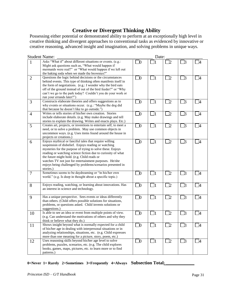# **Creative or Divergent Thinking Ability**

Possessing either potential or demonstrated ability to perform at an exceptionally high level in creative thinking and divergent approaches to conventional tasks as evidenced by innovative or creative reasoning, advanced insight and imagination, and solving problems in unique ways.

| <b>Student Name:</b> |                                                                                                                                                                                                                                                                                                                                                                                                                                 |             | Date:    |                |             |                |  |
|----------------------|---------------------------------------------------------------------------------------------------------------------------------------------------------------------------------------------------------------------------------------------------------------------------------------------------------------------------------------------------------------------------------------------------------------------------------|-------------|----------|----------------|-------------|----------------|--|
| $\mathbf{1}$         | Asks "What if" about different situations or events. (e.g.:<br>Might ask questions such as, "What would happen if<br>mermaids were real?" or "What would happen if we left out<br>the baking soda when we made the brownies?"                                                                                                                                                                                                   | $\Box 0$    |          | 72             | $\Box$ 3    | <b>4</b>       |  |
| $\overline{2}$       | Questions the logic behind decisions or the circumstances<br>behind events. This type of thinking often manifests itself in<br>the form of negotiations. (e.g.: I wonder why the bird eats<br>off of the ground instead of out of the bird feeder?" or "Why<br>can't we go to the park today? Couldn't you do your work or<br>run your errands later?")                                                                         | $\Box 0$    | $\Box$ 1 | $\Box$ 2       | $\square$ 3 | $\overline{A}$ |  |
| 3                    | Constructs elaborate theories and offers suggestions as to<br>why events or situations occur. (e.g.: "Maybe the dog did<br>that because he doesn't like to go outside.")                                                                                                                                                                                                                                                        | $\square_0$ | $\Box_1$ | ]2             | $\square$ 3 | $\overline{A}$ |  |
| $\overline{4}$       | Writes or tells stories of his/her own creation. Stories<br>include elaborate details. (e.g. May make drawings and tell<br>stories to explain the drawing. Writes and enacts plays. Etc.)                                                                                                                                                                                                                                       | $\Box$ 0    | $\Box_1$ | $\mathbb{L}$   | $\square$ 3 | - 4            |  |
| 5                    | Creates art, projects, or inventions to entertain self, to meet a<br>need, or to solve a problem. May use common objects in<br>uncommon ways. (e.g. Uses items found around the house in<br>projects or creations.)                                                                                                                                                                                                             | $\Box$ 0    | $\Box_1$ | I2             | $\square$ 3 | $\Box$ 4       |  |
| 6                    | Enjoys mythical or fanciful tales that require willing<br>suspension of disbelief. Enjoys reading or watching<br>mysteries for the purpose of trying to solve these. Enjoys<br>reading or watching science fiction due to curiosity of what<br>the future might hold. (e.g. Child reads or<br>watches TV not just for entertainment purposes. He/she<br>enjoys being challenged by problems/scenarios presented in<br>stories.) | $\Box 0$    | $\Box_1$ | J2             | $\square$ 3 | -4             |  |
| $\overline{7}$       | Sometimes seems to be daydreaming or "in his/her own<br>world." (e.g. Is deep in thought about a specific topic.)                                                                                                                                                                                                                                                                                                               | $\Box 0$    | $\Box_1$ | $\mathbb{Z}_2$ | $\square$ 3 | $\Box$ 4       |  |
| 8                    | Enjoys reading, watching, or learning about innovations. Has<br>an interest in science and technology.                                                                                                                                                                                                                                                                                                                          | $\Box$      | $\Box_1$ | $\Box$ 2       | $\square$ 3 | $\Box$         |  |
| 9                    | Has a unique perspective. Sees events or ideas differently<br>than others. (Child offers possible solutions for situations,<br>problems, or questions asked. Child invents solutions or<br>suggestions.)                                                                                                                                                                                                                        | $\Box$ 0    | $\Box_1$ | $\mathbb{Z}^2$ | $\Box$ 3    | - 4            |  |
| 10                   | Is able to see an idea or event from multiple points of view.<br>(e.g. Can understand the motivations of others and why they<br>think or believe what they do.)                                                                                                                                                                                                                                                                 | $\Box 0$    | $\Box$ 1 | $\mathbb{Z}^2$ | $\square$ 3 | - 14           |  |
| 11                   | Shows insight beyond what is normally expected for a child<br>of his/her age in dealing with interpersonal situations or in<br>analyzing relationships, situations, etc. (e.g. Child expresses<br>more than one meaning for a picture, story, poem, etc.)                                                                                                                                                                       | $\Box$      | $\Box$   | $\Box$ 2       | $\square$ 3 | $\mathbb{I}$   |  |
| 12                   | Uses reasoning skills beyond his/her age level to solve<br>problems, puzzles, scenarios, etc. (e.g. The child explores<br>books, games, maps, pictures, etc. to learn more or to find<br>patterns.)                                                                                                                                                                                                                             | $\Box$ 0    | $\Box_1$ | $\Box$ 2       | $\square$ 3 | $\overline{4}$ |  |

#### 0=Never 1= Rarely 2=Sometimes 3=Frequently 4=Always Subsection Total<sub>i</sub>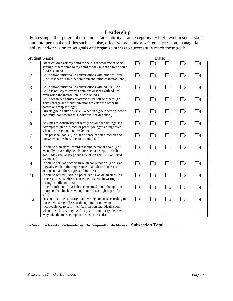# **Leadership**

Possessing either potential or demonstrated ability at an exceptionally high level in social skills and interpersonal qualities such as poise, effective oral and/or written expression, managerial ability and/or vision to set goals and organize others to successfully reach those goals.

| <b>Student Name:</b> |                                                                                                                                                                                                                                                                                                 |          | Date:    |                    |             |                |  |
|----------------------|-------------------------------------------------------------------------------------------------------------------------------------------------------------------------------------------------------------------------------------------------------------------------------------------------|----------|----------|--------------------|-------------|----------------|--|
| $\mathbf{1}$         | Other children ask my child for help. (In academic or social<br>settings, others come to my child as they might go to an adult<br>for assistance.)                                                                                                                                              | $\Box 0$ |          | 72                 | ]3          |                |  |
| $\overline{2}$       | Child shows initiative in conversations with other children.<br>( <i>i.e.</i> : Reaches out to other children and initiates interactions.)                                                                                                                                                      | $\Box$ 0 | $\Box$ 1 | $\Box$ 2           | $\Box$ 3    | $\Box$ 4       |  |
| 3                    | Child shows initiative in conversations with adults. (i.e.:<br>Child is not shy to express opinions or ideas with adults,<br>even when the interaction is unsolicited.)                                                                                                                         | $\Box$ 0 | $\Box$ 1 | $\Box$ 2           | $\Box$ 3    | - 14           |  |
| $\overline{4}$       | Child organizes games or activities for self or others. (i.e.:<br>Takes charge and issues directions to establish order in<br>games or group settings.)                                                                                                                                         | $\Box$ 0 | $\Box$ 1 | $\Box$ 2           | $\Box$ 3    | $\overline{a}$ |  |
| 5                    | Directs group activities. (i.e.: When in a group setting, others<br>naturally look toward this individual for direction.)                                                                                                                                                                       | $\Box$ 0 | $\Box$ 1 | $\Box$ 2           | $\Box$ 3    | $\vert$ 4      |  |
| 6                    | Assumes responsibility for family or younger siblings. (i.e.:<br>Attempts to guide, direct, or parent younger siblings even<br>when the direction is not welcome.)                                                                                                                              | $\Box$   | $\Box_1$ | $\Box$ 2           | $\Box$ 3    | $\Box$ 4       |  |
| $\overline{7}$       | Sets personal goals. (i.e.: Has a sense of self direction and<br>knows what he/she wants to accomplish.)                                                                                                                                                                                        | $\Box$   | $\Box$ 1 | $\Box$ 2           | $\Box$ 3    | $\Box$ 4       |  |
| 8                    | Is able to plan steps toward reaching personal goals. (i.e.:<br>Mentally or verbally details intermediate steps to reach a<br>goal. May use language such as, "First I will" or "Next<br>we must.")                                                                                             | $\Box$   | $\Box$ 1 | $\Box$ 2           | $\exists$ 3 | <b>一</b> 4     |  |
| 9                    | Is able to persuade others through conversation. (i.e.: Can<br>logically explain the importance of an idea or course of<br>action so that others agree and follow.)                                                                                                                             | $\Box 0$ | $\Box$ 1 | $\Box$             | $\Box$ 3    | $\Box$         |  |
| 10                   | Is able to write/illustrate a point. (i.e.: Can detail steps in a<br>process, cause & effect, consequences, etc. in writing or<br>through an illustration.)                                                                                                                                     | $\Box$   | $\Box$ 1 | $\Box$             | $\square$ 3 | $\Box$ 4       |  |
| 11                   | Is self-confident. (i.e.: Is less concerned about the opinions<br>of others than his/her own opinion. Has a high regard for<br>self.)                                                                                                                                                           | $\Box 0$ | $\Box$ 1 | $\overline{\Box}2$ | $\Box$ 3    | - 74           |  |
| 12                   | Has an innate sense of right and wrong and acts according to<br>those beliefs regardless of the opinion of others or<br>inconvenience to self. (i.e.: Acts on personal ideals even<br>when those ideals may conflict peers or authority members.<br>May take the more complex means to an end.) | $\Box$   | $\Box$ 1 | $\Box$ 2           | $\Box$ 3    | - 4            |  |

0=Never 1= Rarely 2=Sometimes 3=Frequently 4=Always Subsection Total<sub>2</sub>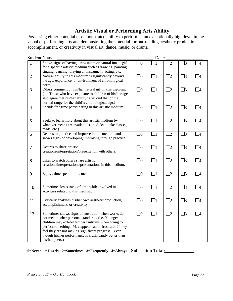# **Artistic Visual or Performing Arts Ability**

Possessing either potential or demonstrated ability to perform at an exceptionally high level in the visual or performing arts and demonstrating the potential for outstanding aesthetic production, accomplishment, or creativity in visual art, dance, music, or drama.

| <b>Student Name:</b> |                                                                                                                                                                                                                                                                                                                                                                  |           | Date:    |                          |             |                          |  |
|----------------------|------------------------------------------------------------------------------------------------------------------------------------------------------------------------------------------------------------------------------------------------------------------------------------------------------------------------------------------------------------------|-----------|----------|--------------------------|-------------|--------------------------|--|
| 1                    | Shows signs of having a raw talent or natural innate gift<br>for a specific artistic medium such as drawing, painting,<br>singing, dancing, playing an instrument, acting, etc.                                                                                                                                                                                  | $\square$ |          | 72                       | $\exists$ 3 | $\overline{A}$           |  |
| $\overline{2}$       | Natural ability in this medium is significantly beyond<br>the age, experience, or environment of chronological<br>peers.                                                                                                                                                                                                                                         | $\square$ | $\Box$ 1 | $\Box$                   | $\Box$ 3    | - 4                      |  |
| $\overline{3}$       | Others comment on his/her natural gift in this medium.<br>(i.e. Those who have exposure to children of his/her age<br>also agree that his/her ability is beyond that of the<br>normal range for the child's chronological age.)                                                                                                                                  | $\Box$    | $\Box$   | $\overline{2}$           | $\Box$ 3    | $\overline{14}$          |  |
| $\overline{4}$       | Spends free time participating in this artistic medium.                                                                                                                                                                                                                                                                                                          | $\Box$    | $\Box$ 1 | $\Box$                   | $\Box$ 3    | $\Box$ 4                 |  |
| 5                    | Seeks to learn more about this artistic medium by<br>whatever means are available. (i.e. Asks to take classes,<br>reads, etc.)                                                                                                                                                                                                                                   | $\Box$    | $\Box$ 1 | $\mathbb{Z}^2$           | $\Box$ 3    | $\overline{\phantom{a}}$ |  |
| 6                    | Desires to practice and improve in this medium and<br>shows signs of developing/improving through practice.                                                                                                                                                                                                                                                      | $\Box$    | $\Box$ 1 | $\Box$                   | $\square$ 3 | $\Box$ 4                 |  |
| $\overline{7}$       | Desires to share artistic<br>creations/interpretation/presentation with others.                                                                                                                                                                                                                                                                                  | $\Box$    | $\Box$ 1 | $\Box$                   | $\square$ 3 | $\Box$ 4                 |  |
| 8                    | Likes to watch others share artistic<br>creations/interpretations/presentations in this medium.                                                                                                                                                                                                                                                                  | $\Box$ 0  | $\Box$ 1 | $\mathbb{Z}^2$           | $\Box$ 3    | $\Box 4$                 |  |
| 9                    | Enjoys time spent in this medium.                                                                                                                                                                                                                                                                                                                                | $\Box$    | $\Box$ 1 | $\Box$ 2                 | $\Box$ 3    | - 4                      |  |
| 10                   | Sometimes loses track of time while involved in<br>activities related to this medium.                                                                                                                                                                                                                                                                            | $\Box$    | $\Box$ 1 | $\overline{\phantom{a}}$ | $\square$ 3 | $\Box$                   |  |
| 11                   | Critically analyses his/her own aesthetic production,<br>accomplishment, or creativity.                                                                                                                                                                                                                                                                          | $\Box$    | $\Box$ 1 | $\mathbb{Z}^2$           | $\square$ 3 | - 14                     |  |
| 12                   | Sometimes shows signs of frustration when works do<br>not meet his/her personal standards. (i.e. Younger<br>children may exhibit temper tantrums when trying to<br>perfect something. May appear sad or frustrated if they<br>feel they are not making significant progress - even<br>though his/her performance is significantly better than<br>his/her peers.) | $\Box$    | $\Box$ 1 | $\Box$                   | $\square$ 3 | $\square$                |  |

**0=Never 1= Rarely 2=Sometimes 3=Frequently 4=Always Subsection Total: \_\_\_\_\_\_\_\_\_\_\_\_\_\_\_**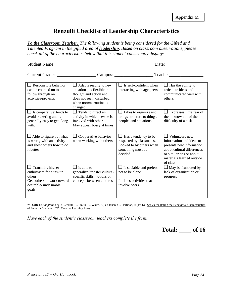# **Renzulli Checklist of Leadership Characteristics**

*To the Classroom Teacher: The following student is being considered for the Gifted and Talented Program in the gifted area of leadership. Based on classroom observations, please check all of the characteristics below that this student consistently displays.*

Student Name: \_\_\_\_\_\_\_\_\_\_\_\_\_\_\_\_\_\_\_\_\_\_\_\_\_\_\_\_\_\_\_\_\_\_\_\_\_\_\_\_\_\_ Date: \_\_\_\_\_\_\_\_\_\_\_\_\_\_\_\_

| <b>Current Grade:</b>                                                                                                    |                                                                                                                                                      | Campus:                                                                                                            | Teacher                                                                                                                                                                    |
|--------------------------------------------------------------------------------------------------------------------------|------------------------------------------------------------------------------------------------------------------------------------------------------|--------------------------------------------------------------------------------------------------------------------|----------------------------------------------------------------------------------------------------------------------------------------------------------------------------|
|                                                                                                                          |                                                                                                                                                      |                                                                                                                    |                                                                                                                                                                            |
| $\Box$ Responsible behavior;<br>can be counted on to<br>follow through on<br>activities/projects.                        | $\Box$ Adapts readily to new<br>situations: is flexible in<br>thought and action and<br>does not seem disturbed<br>when normal routine is<br>changed | $\Box$ Is self-confident when<br>interacting with age peers.                                                       | $\Box$ Has the ability to<br>articulate ideas and<br>communicated well with<br>others.                                                                                     |
| $\Box$ Is cooperative; tends to<br>avoid bickering and is<br>generally easy to get along<br>with.                        | $\Box$ Tends to direct an<br>activity in which he/she is<br>involved with others.<br>May appear bossy at times                                       | $\Box$ Likes to organize and<br>brings structure to things,<br>people, and situations.                             | Expresses little fear of<br>the unknown or of the<br>difficulty of a task.                                                                                                 |
| Able to figure out what<br>is wrong with an activity<br>and show others how to do<br>it better                           | Cooperative behavior<br>when working with others                                                                                                     | Has a tendency to be<br>ப<br>respected by classmates.<br>Looked to by others when<br>something must be<br>decided. | Volunteers new<br>information and ideas or<br>presents new information<br>about cultural differences<br>or similarities or about<br>materials learned outside<br>of class. |
| Transmits his/her<br>enthusiasm for a task to<br>others<br>Gets others to work toward<br>desirable/ undesirable<br>goals | $\Box$ Is able to<br>generalize/transfer culture-<br>specific skills, notions or<br>concepts between cultures                                        | $\Box$ Is sociable and prefers<br>not to be alone.<br>Initiates activities that<br>involve peers                   | May be frustrated by<br>lack of organization or<br>progress                                                                                                                |

\*SOURCE: *Adaptation of* -: Renzulli, J., Smith, L., White, A., Callahan, C., Hartman, R (1976). Scales for Rating the Behavioral Characteristics of Superior Students. CT: Creative Learning Press.

*Have each of the student's classroom teachers complete the form.* 

**Total: \_\_\_\_ of 16**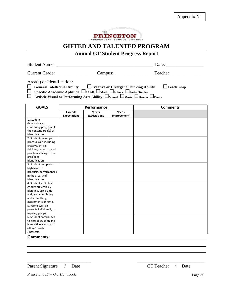

# **Annual GT Student Progress Report**

| Student<br>121 I I I I |  |
|------------------------|--|
|                        |  |

Current Grade: \_\_\_\_\_\_\_\_\_\_\_\_\_\_\_\_\_ Campus: \_\_\_\_\_\_\_\_\_\_\_\_\_\_\_\_\_ Teacher\_\_\_\_\_\_\_\_\_\_\_\_\_\_\_

Area(s) of Identification:

| $\Box$ General Intellectual Ability | $\Box$ Creative or Divergent Thinking Ability                                                                      | $L$ eadership |
|-------------------------------------|--------------------------------------------------------------------------------------------------------------------|---------------|
|                                     | <b>Specific Academic Aptitude: <math>\square</math>ELAR <math>\square</math></b> Socience $\square$ Social Studies |               |

Artistic Visual or Performing Arts Ability:  $\Box$  Visual  $\Box$  Music  $\Box$  Drama  $\Box$  Dance

| <b>GOALS</b>             | Performance         |                     |              | <b>Comments</b> |
|--------------------------|---------------------|---------------------|--------------|-----------------|
|                          | <b>Exceeds</b>      | <b>Meets</b>        | <b>Needs</b> |                 |
|                          | <b>Expectations</b> | <b>Expectations</b> | Improvement  |                 |
| 1. Student               |                     |                     |              |                 |
| demonstrates             |                     |                     |              |                 |
| continuing progress of   |                     |                     |              |                 |
| the content area(s) of   |                     |                     |              |                 |
| identification.          |                     |                     |              |                 |
| 2. Student develops      |                     |                     |              |                 |
| process skills including |                     |                     |              |                 |
| creative/critical        |                     |                     |              |                 |
| thinking, research, and  |                     |                     |              |                 |
| problem solving in the   |                     |                     |              |                 |
| area(s) of               |                     |                     |              |                 |
| identification.          |                     |                     |              |                 |
| 3. Student completes     |                     |                     |              |                 |
| high level of            |                     |                     |              |                 |
| products/performances    |                     |                     |              |                 |
| in the area(s) of        |                     |                     |              |                 |
| identification.          |                     |                     |              |                 |
| 4. Student exhibits a    |                     |                     |              |                 |
| good work ethic by       |                     |                     |              |                 |
| planning, using time     |                     |                     |              |                 |
| well, and completing     |                     |                     |              |                 |
| and submitting           |                     |                     |              |                 |
| assignments on time.     |                     |                     |              |                 |
| 5. Works well on         |                     |                     |              |                 |
| projects individually or |                     |                     |              |                 |
| in pairs/groups.         |                     |                     |              |                 |
| 6. Student contributes   |                     |                     |              |                 |
| to class discussion and  |                     |                     |              |                 |
| is sensitively aware of  |                     |                     |              |                 |
| others' needs            |                     |                     |              |                 |
| /interests.              |                     |                     |              |                 |

\_\_\_\_\_\_\_\_\_\_\_\_\_\_\_\_\_\_\_\_\_\_\_\_\_\_\_\_ \_\_\_\_\_\_\_\_\_\_\_\_\_\_\_\_\_\_\_\_\_\_\_\_\_\_\_\_\_

**Comments:**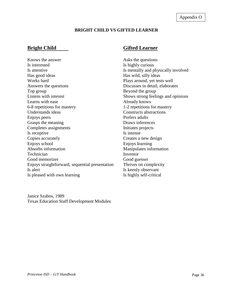## **BRIGHT CHILD VS GIFTED LEARNER**

Knows the answer Asks the questions Is interested Is highly curious Is attentive Is mentally and physically involved Has good ideas Has wild, silly ideas Works hard Plays around, yet tests well Answers the questions Discusses in detail, elaborates Top group Beyond the group Listens with interest Shows strong feelings and opinions Learns with ease **Already knows** 6-8 repetitions for mastery 1-2 repetitions for mastery Understands ideas Constructs abstractions Enjoys peers Prefers adults Grasps the meaning Draws inferences Completes assignments Initiates projects Is receptive Is intense Copies accurately Creates a new design Enjoys school Enjoys learning Absorbs information Manipulates information Technician Inventor Good memorizer Good guesser Enjoys straightforward, sequential presentation Thrives on complexity Is a left Is a left Is keenly observant Is pleased with own learning Is highly self-critical

Janice Szabos, 1989 Texas Education Staff Development Modules

# **Bright Child** Gifted Learner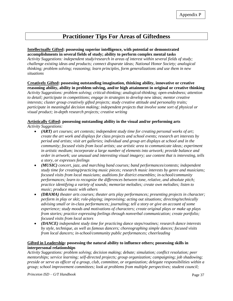# **Practitioner Tips For Areas of Giftedness**

#### **Intellectually Gifted: possessing superior intelligence, with potential or demonstrated accomplishments in several fields of study; ability to perform complex mental tasks**

*Activity Suggestions: independent study/research in areas of interest within several fields of study; challenge existing ideas and products; connect disparate ideas; National Honor Society; analogical thinking; problem solving; reasoning; learn principles, form generalizations and use them in new situations*

# **Creatively Gifted: possessing outstanding imagination, thinking ability, innovative or creative reasoning ability, ability in problem solving, and/or high attainment in original or creative thinking**

*Activity Suggestions: problem solving; critical-thinking; analogical-thinking; open-endedness; attention to detail; participate in competitions; engage in strategies to develop new ideas; mentor creative interests; cluster group creatively gifted projects; study creative attitude and personality traits; participate in meaningful decision making; independent projects that involve some sort of physical or visual product; in-depth research projects; creative writing*

#### **Artistically Gifted: possessing outstanding ability in the visual and/or performing arts** *Activity Suggestions:*

- - *(ART) art courses; art contests; independent study time for creating personal works of art; create the art work and displays for class projects and school events; research art interests by period and artists; visit art galleries; individual and group art displays at school and in the community; focused visits from local artists; use artistic area to communicate ideas; experiment in artistic medium; incorporate a large number of elements into artwork; provide balance and order in artwork; use unusual and interesting visual imagery; use content that is interesting, tells a story, or expresses feelings*
	- *(MUSIC) concert, jazz, and marching band courses; band performances/contests; independent study time for creating/practicing music pieces; research music interests by genre and musicians; focused visits from local musicians; auditions for district ensembles; in-school/community performances; learn to recognize the differences between tone, relative, and absolute pitch; practice identifying a variety of sounds; memorize melodies; create own melodies; listen to music; produce music with others*
	- *(DRAMA) theater arts courses; theater arts play performances; presenting projects in character; perform in play or skit; role-playing; improvising; acting out situations; directing/technically advising small or in-class performances; journaling; tell a story or give an account of some experience; study moods and motivations of characters; create original plays or make up plays from stories; practice expressing feelings through nonverbal communication; create portfolio; focused visits from local actors*
	- *(DANCE) independent study time for practicing dance steps/routines; research dance interests by style, technique, as well as famous dancers; choreographing simple dances; focused visits from local dancers; in-school/community public performances; cheerleading*

#### **Gifted in Leadership: possessing the natural ability to influence others; possessing skills in interpersonal relationships**

*Activity Suggestions: problem solving; decision making; debate; simulation; conflict resolution; peer mentorships; service learning; self-directed projects; group organization; campaigning; job shadowing; preside or serve as officer of a group, club, committee, or organization; delegate responsibilities within a group; school improvement committees; look at problems from multiple perspectives; student council;*